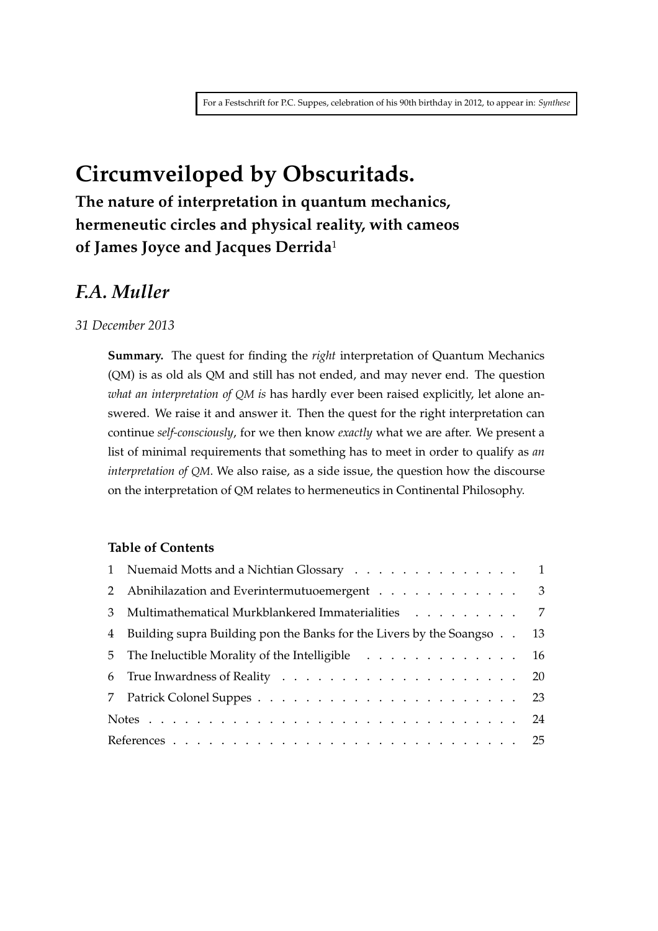# **Circumveiloped by Obscuritads.**

**The nature of interpretation in quantum mechanics, hermeneutic circles and physical reality, with cameos of James Joyce and Jacques Derrida**<sup>1</sup>

# *F.A. Muller*

*31 December 2013*

**Summary.** The quest for finding the *right* interpretation of Quantum Mechanics (QM) is as old als QM and still has not ended, and may never end. The question *what an interpretation of QM is* has hardly ever been raised explicitly, let alone answered. We raise it and answer it. Then the quest for the right interpretation can continue *self-consciously*, for we then know *exactly* what we are after. We present a list of minimal requirements that something has to meet in order to qualify as *an interpretation of QM*. We also raise, as a side issue, the question how the discourse on the interpretation of QM relates to hermeneutics in Continental Philosophy.

#### **Table of Contents**

| 1 Nuemaid Motts and a Nichtian Glossary 1                                |  |
|--------------------------------------------------------------------------|--|
| 2 Abnihilazation and Everintermutuoemergent 3                            |  |
| 3 Multimathematical Murkblankered Immaterialities 7                      |  |
| 4 Building supra Building pon the Banks for the Livers by the Soangso 13 |  |
| 5 The Ineluctible Morality of the Intelligible 16                        |  |
|                                                                          |  |
|                                                                          |  |
|                                                                          |  |
|                                                                          |  |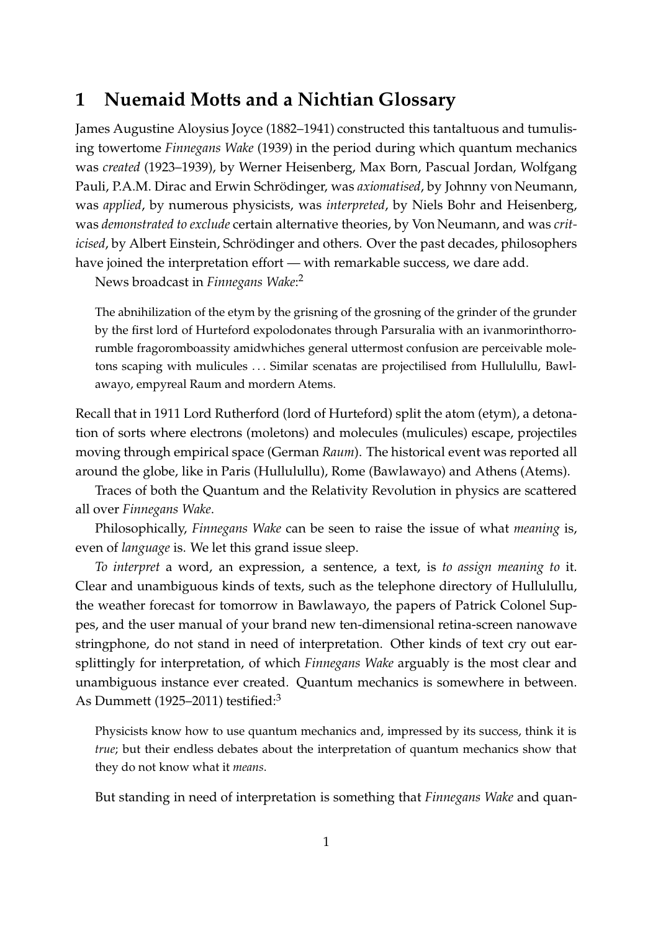# **1 Nuemaid Motts and a Nichtian Glossary**

James Augustine Aloysius Joyce (1882–1941) constructed this tantaltuous and tumulising towertome *Finnegans Wake* (1939) in the period during which quantum mechanics was *created* (1923–1939), by Werner Heisenberg, Max Born, Pascual Jordan, Wolfgang Pauli, P.A.M. Dirac and Erwin Schrödinger, was *axiomatised*, by Johnny von Neumann, was *applied*, by numerous physicists, was *interpreted*, by Niels Bohr and Heisenberg, was *demonstrated to exclude* certain alternative theories, by Von Neumann, and was *criticised*, by Albert Einstein, Schrödinger and others. Over the past decades, philosophers have joined the interpretation effort — with remarkable success, we dare add.

News broadcast in *Finnegans Wake*: 2

The abnihilization of the etym by the grisning of the grosning of the grinder of the grunder by the first lord of Hurteford expolodonates through Parsuralia with an ivanmorinthorrorumble fragoromboassity amidwhiches general uttermost confusion are perceivable moletons scaping with mulicules . . . Similar scenatas are projectilised from Hullulullu, Bawlawayo, empyreal Raum and mordern Atems.

Recall that in 1911 Lord Rutherford (lord of Hurteford) split the atom (etym), a detonation of sorts where electrons (moletons) and molecules (mulicules) escape, projectiles moving through empirical space (German *Raum*). The historical event was reported all around the globe, like in Paris (Hullulullu), Rome (Bawlawayo) and Athens (Atems).

Traces of both the Quantum and the Relativity Revolution in physics are scattered all over *Finnegans Wake*.

Philosophically, *Finnegans Wake* can be seen to raise the issue of what *meaning* is, even of *language* is. We let this grand issue sleep.

*To interpret* a word, an expression, a sentence, a text, is *to assign meaning to* it. Clear and unambiguous kinds of texts, such as the telephone directory of Hullulullu, the weather forecast for tomorrow in Bawlawayo, the papers of Patrick Colonel Suppes, and the user manual of your brand new ten-dimensional retina-screen nanowave stringphone, do not stand in need of interpretation. Other kinds of text cry out earsplittingly for interpretation, of which *Finnegans Wake* arguably is the most clear and unambiguous instance ever created. Quantum mechanics is somewhere in between. As Dummett (1925–2011) testified:<sup>3</sup>

Physicists know how to use quantum mechanics and, impressed by its success, think it is *true*; but their endless debates about the interpretation of quantum mechanics show that they do not know what it *means*.

But standing in need of interpretation is something that *Finnegans Wake* and quan-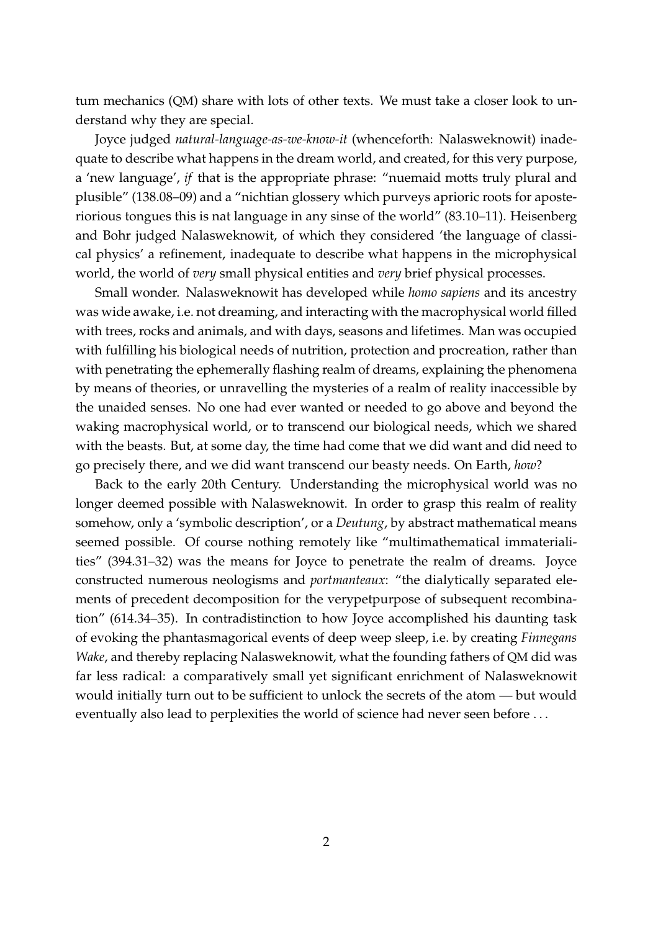tum mechanics (QM) share with lots of other texts. We must take a closer look to understand why they are special.

Joyce judged *natural-language-as-we-know-it* (whenceforth: Nalasweknowit) inadequate to describe what happens in the dream world, and created, for this very purpose, a 'new language', *if* that is the appropriate phrase: "nuemaid motts truly plural and plusible" (138.08–09) and a "nichtian glossery which purveys aprioric roots for aposteriorious tongues this is nat language in any sinse of the world" (83.10–11). Heisenberg and Bohr judged Nalasweknowit, of which they considered 'the language of classical physics' a refinement, inadequate to describe what happens in the microphysical world, the world of *very* small physical entities and *very* brief physical processes.

Small wonder. Nalasweknowit has developed while *homo sapiens* and its ancestry was wide awake, i.e. not dreaming, and interacting with the macrophysical world filled with trees, rocks and animals, and with days, seasons and lifetimes. Man was occupied with fulfilling his biological needs of nutrition, protection and procreation, rather than with penetrating the ephemerally flashing realm of dreams, explaining the phenomena by means of theories, or unravelling the mysteries of a realm of reality inaccessible by the unaided senses. No one had ever wanted or needed to go above and beyond the waking macrophysical world, or to transcend our biological needs, which we shared with the beasts. But, at some day, the time had come that we did want and did need to go precisely there, and we did want transcend our beasty needs. On Earth, *how*?

Back to the early 20th Century. Understanding the microphysical world was no longer deemed possible with Nalasweknowit. In order to grasp this realm of reality somehow, only a 'symbolic description', or a *Deutung*, by abstract mathematical means seemed possible. Of course nothing remotely like "multimathematical immaterialities" (394.31–32) was the means for Joyce to penetrate the realm of dreams. Joyce constructed numerous neologisms and *portmanteaux*: "the dialytically separated elements of precedent decomposition for the verypetpurpose of subsequent recombination" (614.34–35). In contradistinction to how Joyce accomplished his daunting task of evoking the phantasmagorical events of deep weep sleep, i.e. by creating *Finnegans Wake*, and thereby replacing Nalasweknowit, what the founding fathers of QM did was far less radical: a comparatively small yet significant enrichment of Nalasweknowit would initially turn out to be sufficient to unlock the secrets of the atom — but would eventually also lead to perplexities the world of science had never seen before . . .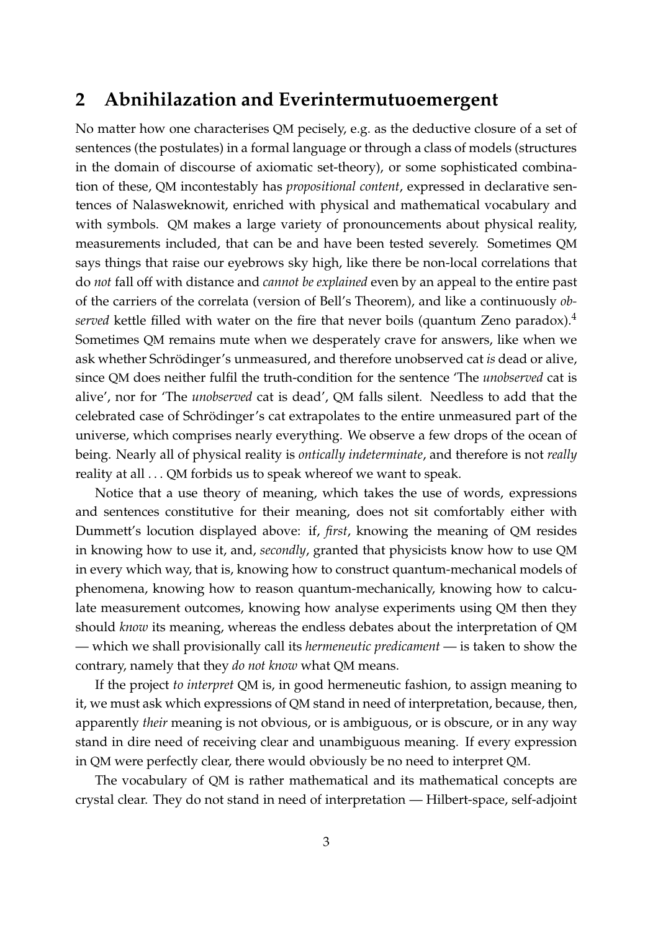### **2 Abnihilazation and Everintermutuoemergent**

No matter how one characterises QM pecisely, e.g. as the deductive closure of a set of sentences (the postulates) in a formal language or through a class of models (structures in the domain of discourse of axiomatic set-theory), or some sophisticated combination of these, QM incontestably has *propositional content*, expressed in declarative sentences of Nalasweknowit, enriched with physical and mathematical vocabulary and with symbols. QM makes a large variety of pronouncements about physical reality, measurements included, that can be and have been tested severely. Sometimes QM says things that raise our eyebrows sky high, like there be non-local correlations that do *not* fall off with distance and *cannot be explained* even by an appeal to the entire past of the carriers of the correlata (version of Bell's Theorem), and like a continuously *observed* kettle filled with water on the fire that never boils (quantum Zeno paradox).<sup>4</sup> Sometimes QM remains mute when we desperately crave for answers, like when we ask whether Schrödinger's unmeasured, and therefore unobserved cat *is* dead or alive, since QM does neither fulfil the truth-condition for the sentence 'The *unobserved* cat is alive', nor for 'The *unobserved* cat is dead', QM falls silent. Needless to add that the celebrated case of Schrödinger's cat extrapolates to the entire unmeasured part of the universe, which comprises nearly everything. We observe a few drops of the ocean of being. Nearly all of physical reality is *ontically indeterminate*, and therefore is not *really* reality at all . . . QM forbids us to speak whereof we want to speak.

Notice that a use theory of meaning, which takes the use of words, expressions and sentences constitutive for their meaning, does not sit comfortably either with Dummett's locution displayed above: if, *first*, knowing the meaning of QM resides in knowing how to use it, and, *secondly*, granted that physicists know how to use QM in every which way, that is, knowing how to construct quantum-mechanical models of phenomena, knowing how to reason quantum-mechanically, knowing how to calculate measurement outcomes, knowing how analyse experiments using QM then they should *know* its meaning, whereas the endless debates about the interpretation of QM — which we shall provisionally call its *hermeneutic predicament* — is taken to show the contrary, namely that they *do not know* what QM means.

If the project *to interpret* QM is, in good hermeneutic fashion, to assign meaning to it, we must ask which expressions of QM stand in need of interpretation, because, then, apparently *their* meaning is not obvious, or is ambiguous, or is obscure, or in any way stand in dire need of receiving clear and unambiguous meaning. If every expression in QM were perfectly clear, there would obviously be no need to interpret QM.

The vocabulary of QM is rather mathematical and its mathematical concepts are crystal clear. They do not stand in need of interpretation — Hilbert-space, self-adjoint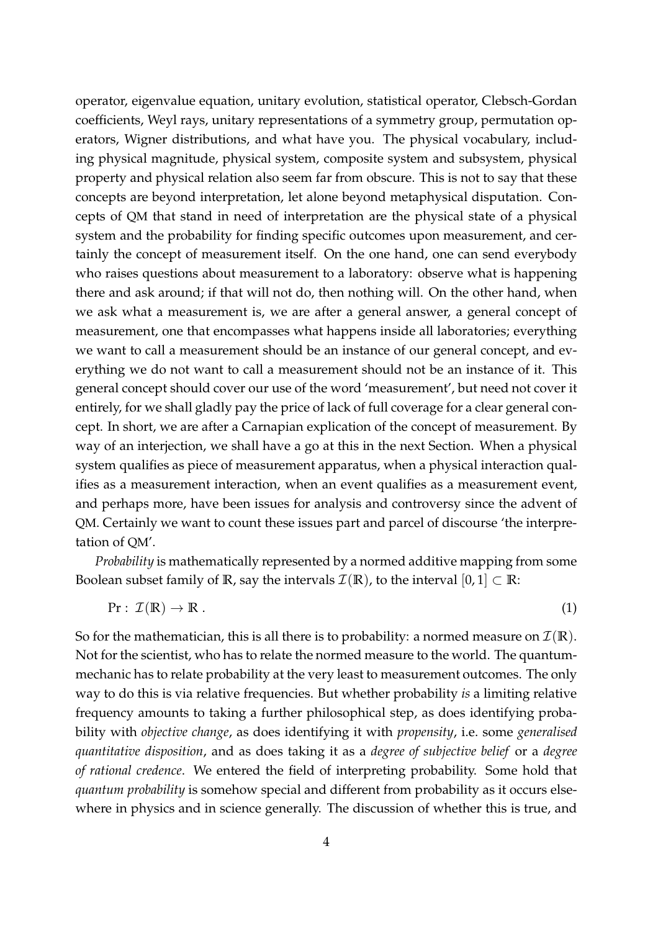operator, eigenvalue equation, unitary evolution, statistical operator, Clebsch-Gordan coefficients, Weyl rays, unitary representations of a symmetry group, permutation operators, Wigner distributions, and what have you. The physical vocabulary, including physical magnitude, physical system, composite system and subsystem, physical property and physical relation also seem far from obscure. This is not to say that these concepts are beyond interpretation, let alone beyond metaphysical disputation. Concepts of QM that stand in need of interpretation are the physical state of a physical system and the probability for finding specific outcomes upon measurement, and certainly the concept of measurement itself. On the one hand, one can send everybody who raises questions about measurement to a laboratory: observe what is happening there and ask around; if that will not do, then nothing will. On the other hand, when we ask what a measurement is, we are after a general answer, a general concept of measurement, one that encompasses what happens inside all laboratories; everything we want to call a measurement should be an instance of our general concept, and everything we do not want to call a measurement should not be an instance of it. This general concept should cover our use of the word 'measurement', but need not cover it entirely, for we shall gladly pay the price of lack of full coverage for a clear general concept. In short, we are after a Carnapian explication of the concept of measurement. By way of an interjection, we shall have a go at this in the next Section. When a physical system qualifies as piece of measurement apparatus, when a physical interaction qualifies as a measurement interaction, when an event qualifies as a measurement event, and perhaps more, have been issues for analysis and controversy since the advent of QM. Certainly we want to count these issues part and parcel of discourse 'the interpretation of QM'.

*Probability* is mathematically represented by a normed additive mapping from some Boolean subset family of **R**, say the intervals  $\mathcal{I}(\mathbb{R})$ , to the interval  $[0, 1] \subset \mathbb{R}$ :

$$
\Pr: \mathcal{I}(\mathbb{R}) \to \mathbb{R} \tag{1}
$$

So for the mathematician, this is all there is to probability: a normed measure on  $\mathcal{I}(\mathbb{R})$ . Not for the scientist, who has to relate the normed measure to the world. The quantummechanic has to relate probability at the very least to measurement outcomes. The only way to do this is via relative frequencies. But whether probability *is* a limiting relative frequency amounts to taking a further philosophical step, as does identifying probability with *objective change*, as does identifying it with *propensity*, i.e. some *generalised quantitative disposition*, and as does taking it as a *degree of subjective belief* or a *degree of rational credence*. We entered the field of interpreting probability. Some hold that *quantum probability* is somehow special and different from probability as it occurs elsewhere in physics and in science generally. The discussion of whether this is true, and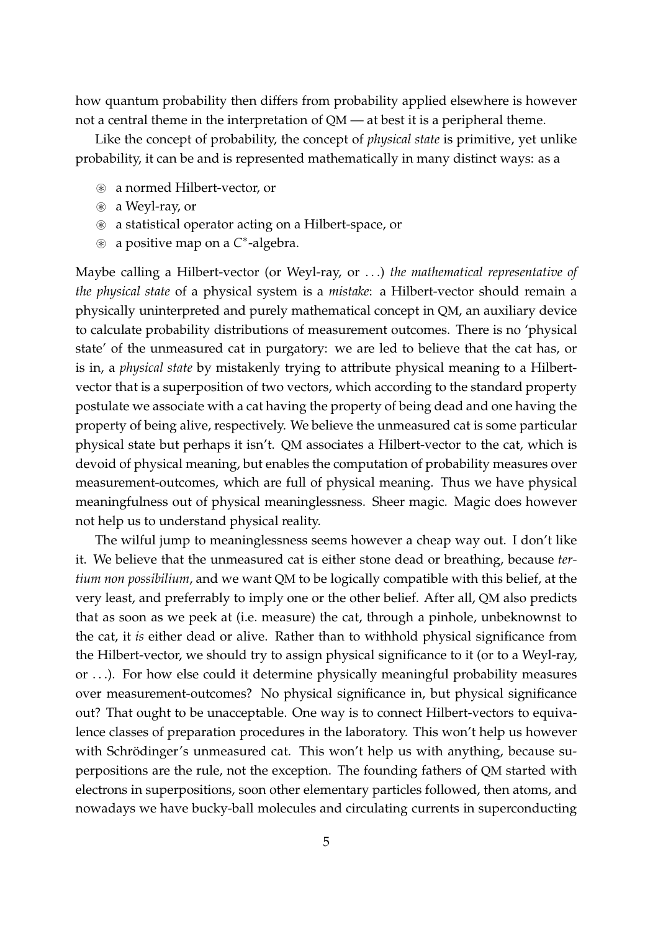how quantum probability then differs from probability applied elsewhere is however not a central theme in the interpretation of QM — at best it is a peripheral theme.

Like the concept of probability, the concept of *physical state* is primitive, yet unlike probability, it can be and is represented mathematically in many distinct ways: as a

- ⊛ a normed Hilbert-vector, or
- ⊛ a Weyl-ray, or
- ⊛ a statistical operator acting on a Hilbert-space, or
- ⊛ a positive map on a *C* ∗ -algebra.

Maybe calling a Hilbert-vector (or Weyl-ray, or . . .) *the mathematical representative of the physical state* of a physical system is a *mistake*: a Hilbert-vector should remain a physically uninterpreted and purely mathematical concept in QM, an auxiliary device to calculate probability distributions of measurement outcomes. There is no 'physical state' of the unmeasured cat in purgatory: we are led to believe that the cat has, or is in, a *physical state* by mistakenly trying to attribute physical meaning to a Hilbertvector that is a superposition of two vectors, which according to the standard property postulate we associate with a cat having the property of being dead and one having the property of being alive, respectively. We believe the unmeasured cat is some particular physical state but perhaps it isn't. QM associates a Hilbert-vector to the cat, which is devoid of physical meaning, but enables the computation of probability measures over measurement-outcomes, which are full of physical meaning. Thus we have physical meaningfulness out of physical meaninglessness. Sheer magic. Magic does however not help us to understand physical reality.

The wilful jump to meaninglessness seems however a cheap way out. I don't like it. We believe that the unmeasured cat is either stone dead or breathing, because *tertium non possibilium*, and we want QM to be logically compatible with this belief, at the very least, and preferrably to imply one or the other belief. After all, QM also predicts that as soon as we peek at (i.e. measure) the cat, through a pinhole, unbeknownst to the cat, it *is* either dead or alive. Rather than to withhold physical significance from the Hilbert-vector, we should try to assign physical significance to it (or to a Weyl-ray, or . . .). For how else could it determine physically meaningful probability measures over measurement-outcomes? No physical significance in, but physical significance out? That ought to be unacceptable. One way is to connect Hilbert-vectors to equivalence classes of preparation procedures in the laboratory. This won't help us however with Schrödinger's unmeasured cat. This won't help us with anything, because superpositions are the rule, not the exception. The founding fathers of QM started with electrons in superpositions, soon other elementary particles followed, then atoms, and nowadays we have bucky-ball molecules and circulating currents in superconducting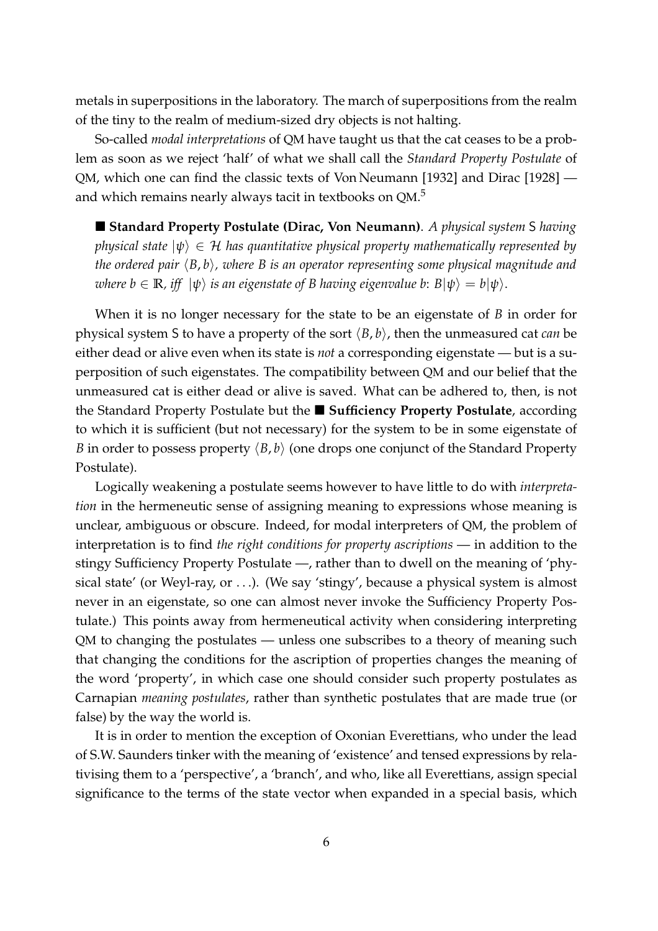metals in superpositions in the laboratory. The march of superpositions from the realm of the tiny to the realm of medium-sized dry objects is not halting.

So-called *modal interpretations* of QM have taught us that the cat ceases to be a problem as soon as we reject 'half' of what we shall call the *Standard Property Postulate* of QM, which one can find the classic texts of Von Neumann [1932] and Dirac [1928] and which remains nearly always tacit in textbooks on QM. $^5$ 

 **Standard Property Postulate (Dirac, Von Neumann)**. *A physical system* S *having physical state*  $|\psi\rangle \in \mathcal{H}$  *has quantitative physical property mathematically represented by the ordered pair*  $\langle B, b \rangle$ , where B is an operator representing some physical magnitude and *where b*  $\in \mathbb{R}$ *, iff*  $|\psi\rangle$  *is an eigenstate of B having eigenvalue b:*  $B|\psi\rangle = b|\psi\rangle$ .

When it is no longer necessary for the state to be an eigenstate of *B* in order for physical system S to have a property of the sort  $\langle B, b \rangle$ , then the unmeasured cat *can* be either dead or alive even when its state is *not* a corresponding eigenstate — but is a superposition of such eigenstates. The compatibility between QM and our belief that the unmeasured cat is either dead or alive is saved. What can be adhered to, then, is not the Standard Property Postulate but the **Sufficiency Property Postulate**, according to which it is sufficient (but not necessary) for the system to be in some eigenstate of *B* in order to possess property  $\langle B, b \rangle$  (one drops one conjunct of the Standard Property Postulate).

Logically weakening a postulate seems however to have little to do with *interpretation* in the hermeneutic sense of assigning meaning to expressions whose meaning is unclear, ambiguous or obscure. Indeed, for modal interpreters of QM, the problem of interpretation is to find *the right conditions for property ascriptions* — in addition to the stingy Sufficiency Property Postulate —, rather than to dwell on the meaning of 'physical state' (or Weyl-ray, or . . .). (We say 'stingy', because a physical system is almost never in an eigenstate, so one can almost never invoke the Sufficiency Property Postulate.) This points away from hermeneutical activity when considering interpreting QM to changing the postulates — unless one subscribes to a theory of meaning such that changing the conditions for the ascription of properties changes the meaning of the word 'property', in which case one should consider such property postulates as Carnapian *meaning postulates*, rather than synthetic postulates that are made true (or false) by the way the world is.

It is in order to mention the exception of Oxonian Everettians, who under the lead of S.W. Saunders tinker with the meaning of 'existence' and tensed expressions by relativising them to a 'perspective', a 'branch', and who, like all Everettians, assign special significance to the terms of the state vector when expanded in a special basis, which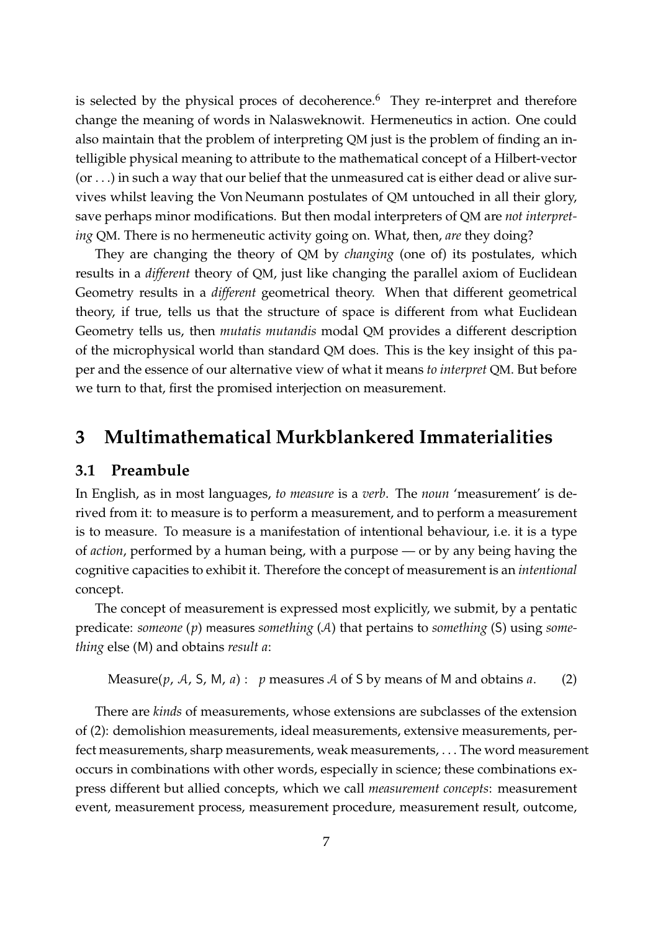is selected by the physical proces of decoherence. $6$  They re-interpret and therefore change the meaning of words in Nalasweknowit. Hermeneutics in action. One could also maintain that the problem of interpreting QM just is the problem of finding an intelligible physical meaning to attribute to the mathematical concept of a Hilbert-vector  $($ or  $\dots$ ) in such a way that our belief that the unmeasured cat is either dead or alive survives whilst leaving the Von Neumann postulates of QM untouched in all their glory, save perhaps minor modifications. But then modal interpreters of QM are *not interpreting* QM. There is no hermeneutic activity going on. What, then, *are* they doing?

They are changing the theory of QM by *changing* (one of) its postulates, which results in a *different* theory of QM, just like changing the parallel axiom of Euclidean Geometry results in a *different* geometrical theory. When that different geometrical theory, if true, tells us that the structure of space is different from what Euclidean Geometry tells us, then *mutatis mutandis* modal QM provides a different description of the microphysical world than standard QM does. This is the key insight of this paper and the essence of our alternative view of what it means *to interpret* QM. But before we turn to that, first the promised interjection on measurement.

### **3 Multimathematical Murkblankered Immaterialities**

#### **3.1 Preambule**

In English, as in most languages, *to measure* is a *verb*. The *noun* 'measurement' is derived from it: to measure is to perform a measurement, and to perform a measurement is to measure. To measure is a manifestation of intentional behaviour, i.e. it is a type of *action*, performed by a human being, with a purpose — or by any being having the cognitive capacities to exhibit it. Therefore the concept of measurement is an *intentional* concept.

The concept of measurement is expressed most explicitly, we submit, by a pentatic predicate: *someone* (*p*) measures *something* (A) that pertains to *something* (S) using *something* else (M) and obtains *result a*:

Measure(*p*, A, S, M, *a*) : *p* measures A of S by means of M and obtains *a*. (2)

There are *kinds* of measurements, whose extensions are subclasses of the extension of (2): demolishion measurements, ideal measurements, extensive measurements, perfect measurements, sharp measurements, weak measurements, . . . The word measurement occurs in combinations with other words, especially in science; these combinations express different but allied concepts, which we call *measurement concepts*: measurement event, measurement process, measurement procedure, measurement result, outcome,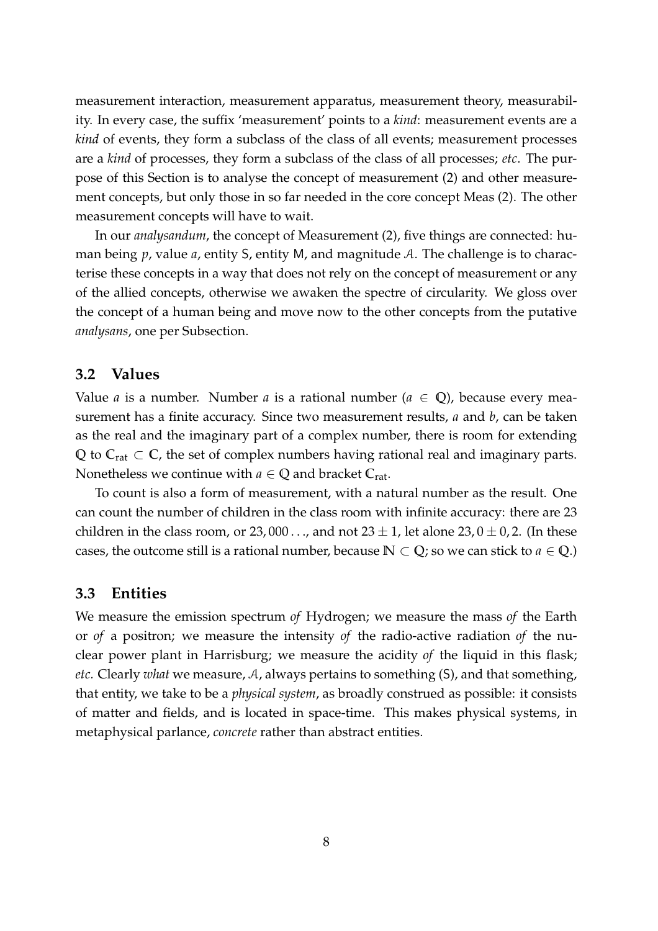measurement interaction, measurement apparatus, measurement theory, measurability. In every case, the suffix 'measurement' points to a *kind*: measurement events are a *kind* of events, they form a subclass of the class of all events; measurement processes are a *kind* of processes, they form a subclass of the class of all processes; *etc*. The purpose of this Section is to analyse the concept of measurement (2) and other measurement concepts, but only those in so far needed in the core concept Meas (2). The other measurement concepts will have to wait.

In our *analysandum*, the concept of Measurement (2), five things are connected: human being  $p$ , value  $a$ , entity S, entity M, and magnitude A. The challenge is to characterise these concepts in a way that does not rely on the concept of measurement or any of the allied concepts, otherwise we awaken the spectre of circularity. We gloss over the concept of a human being and move now to the other concepts from the putative *analysans*, one per Subsection.

#### **3.2 Values**

Value *a* is a number. Number *a* is a rational number ( $a \in \mathbb{Q}$ ), because every measurement has a finite accuracy. Since two measurement results, *a* and *b*, can be taken as the real and the imaginary part of a complex number, there is room for extending **Q** to **C**rat ⊂ **C**, the set of complex numbers having rational real and imaginary parts. Nonetheless we continue with  $a \in \mathbb{Q}$  and bracket  $C_{rat}$ .

To count is also a form of measurement, with a natural number as the result. One can count the number of children in the class room with infinite accuracy: there are 23 children in the class room, or 23,000..., and not  $23 \pm 1$ , let alone  $23,0 \pm 0,2$ . (In these cases, the outcome still is a rational number, because  $\mathbb{N} \subset \mathbb{Q}$ ; so we can stick to  $a \in \mathbb{Q}$ .)

#### **3.3 Entities**

We measure the emission spectrum *of* Hydrogen; we measure the mass *of* the Earth or *of* a positron; we measure the intensity *of* the radio-active radiation *of* the nuclear power plant in Harrisburg; we measure the acidity *of* the liquid in this flask; *etc.* Clearly *what* we measure, A, always pertains to something (S), and that something, that entity, we take to be a *physical system*, as broadly construed as possible: it consists of matter and fields, and is located in space-time. This makes physical systems, in metaphysical parlance, *concrete* rather than abstract entities.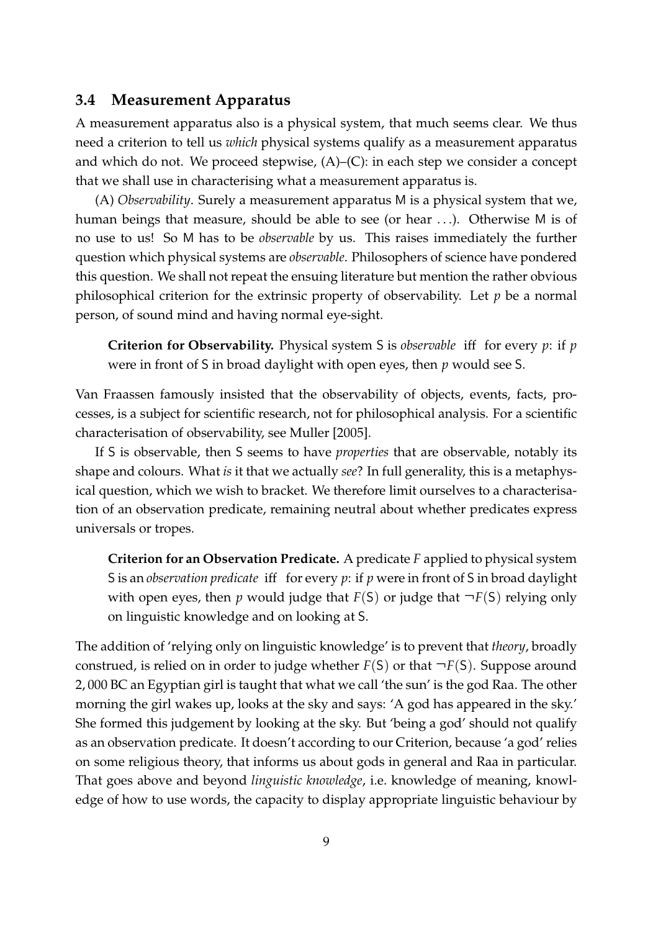#### **3.4 Measurement Apparatus**

A measurement apparatus also is a physical system, that much seems clear. We thus need a criterion to tell us *which* physical systems qualify as a measurement apparatus and which do not. We proceed stepwise,  $(A)$ – $(C)$ : in each step we consider a concept that we shall use in characterising what a measurement apparatus is.

(A) *Observability*. Surely a measurement apparatus M is a physical system that we, human beings that measure, should be able to see (or hear . . .). Otherwise M is of no use to us! So M has to be *observable* by us. This raises immediately the further question which physical systems are *observable*. Philosophers of science have pondered this question. We shall not repeat the ensuing literature but mention the rather obvious philosophical criterion for the extrinsic property of observability. Let *p* be a normal person, of sound mind and having normal eye-sight.

**Criterion for Observability.** Physical system S is *observable* iff for every *p*: if *p* were in front of S in broad daylight with open eyes, then *p* would see S.

Van Fraassen famously insisted that the observability of objects, events, facts, processes, is a subject for scientific research, not for philosophical analysis. For a scientific characterisation of observability, see Muller [2005].

If S is observable, then S seems to have *properties* that are observable, notably its shape and colours. What *is* it that we actually *see*? In full generality, this is a metaphysical question, which we wish to bracket. We therefore limit ourselves to a characterisation of an observation predicate, remaining neutral about whether predicates express universals or tropes.

**Criterion for an Observation Predicate.** A predicate *F* applied to physical system S is an *observation predicate* iff for every *p*: if *p* were in front of S in broad daylight with open eyes, then *p* would judge that  $F(S)$  or judge that  $\neg F(S)$  relying only on linguistic knowledge and on looking at S.

The addition of 'relying only on linguistic knowledge' is to prevent that *theory*, broadly construed, is relied on in order to judge whether  $F(S)$  or that  $\neg F(S)$ . Suppose around 2, 000 BC an Egyptian girl is taught that what we call 'the sun' is the god Raa. The other morning the girl wakes up, looks at the sky and says: 'A god has appeared in the sky.' She formed this judgement by looking at the sky. But 'being a god' should not qualify as an observation predicate. It doesn't according to our Criterion, because 'a god' relies on some religious theory, that informs us about gods in general and Raa in particular. That goes above and beyond *linguistic knowledge*, i.e. knowledge of meaning, knowledge of how to use words, the capacity to display appropriate linguistic behaviour by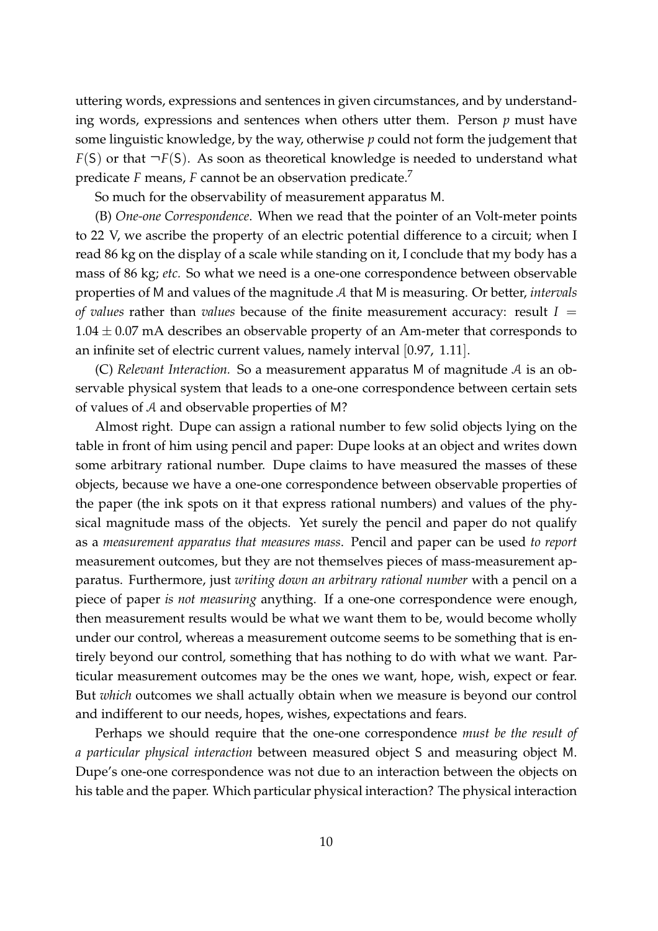uttering words, expressions and sentences in given circumstances, and by understanding words, expressions and sentences when others utter them. Person *p* must have some linguistic knowledge, by the way, otherwise *p* could not form the judgement that  $F(S)$  or that  $\neg F(S)$ . As soon as theoretical knowledge is needed to understand what predicate *F* means, *F* cannot be an observation predicate.<sup>7</sup>

So much for the observability of measurement apparatus M.

(B) *One-one Correspondence*. When we read that the pointer of an Volt-meter points to 22 V, we ascribe the property of an electric potential difference to a circuit; when I read 86 kg on the display of a scale while standing on it, I conclude that my body has a mass of 86 kg; *etc.* So what we need is a one-one correspondence between observable properties of M and values of the magnitude A that M is measuring. Or better, *intervals of values* rather than *values* because of the finite measurement accuracy: result *I* =  $1.04 \pm 0.07$  mA describes an observable property of an Am-meter that corresponds to an infinite set of electric current values, namely interval [0.97, 1.11].

(C) *Relevant Interaction.* So a measurement apparatus M of magnitude A is an observable physical system that leads to a one-one correspondence between certain sets of values of A and observable properties of M?

Almost right. Dupe can assign a rational number to few solid objects lying on the table in front of him using pencil and paper: Dupe looks at an object and writes down some arbitrary rational number. Dupe claims to have measured the masses of these objects, because we have a one-one correspondence between observable properties of the paper (the ink spots on it that express rational numbers) and values of the physical magnitude mass of the objects. Yet surely the pencil and paper do not qualify as a *measurement apparatus that measures mass*. Pencil and paper can be used *to report* measurement outcomes, but they are not themselves pieces of mass-measurement apparatus. Furthermore, just *writing down an arbitrary rational number* with a pencil on a piece of paper *is not measuring* anything. If a one-one correspondence were enough, then measurement results would be what we want them to be, would become wholly under our control, whereas a measurement outcome seems to be something that is entirely beyond our control, something that has nothing to do with what we want. Particular measurement outcomes may be the ones we want, hope, wish, expect or fear. But *which* outcomes we shall actually obtain when we measure is beyond our control and indifferent to our needs, hopes, wishes, expectations and fears.

Perhaps we should require that the one-one correspondence *must be the result of a particular physical interaction* between measured object S and measuring object M. Dupe's one-one correspondence was not due to an interaction between the objects on his table and the paper. Which particular physical interaction? The physical interaction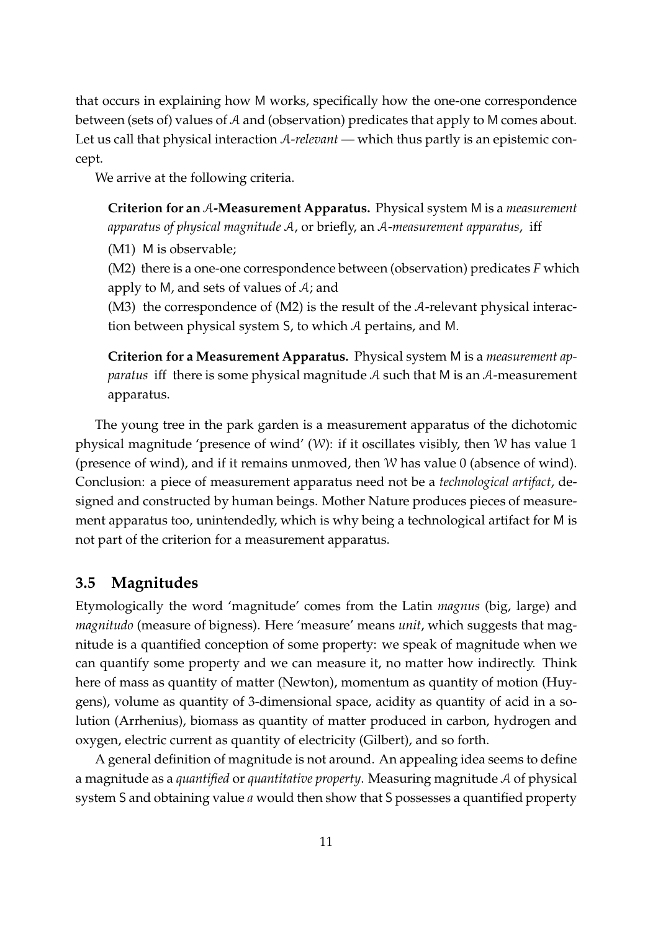that occurs in explaining how M works, specifically how the one-one correspondence between (sets of) values of A and (observation) predicates that apply to M comes about. Let us call that physical interaction A-*relevant* — which thus partly is an epistemic concept.

We arrive at the following criteria.

**Criterion for an** A**-Measurement Apparatus.** Physical system M is a *measurement apparatus of physical magnitude* A, or briefly, an A-*measurement apparatus*, iff

(M1) M is observable;

(M2) there is a one-one correspondence between (observation) predicates *F* which apply to M, and sets of values of A; and

(M3) the correspondence of (M2) is the result of the A-relevant physical interaction between physical system S, to which A pertains, and M.

**Criterion for a Measurement Apparatus.** Physical system M is a *measurement apparatus* iff there is some physical magnitude A such that M is an A-measurement apparatus.

The young tree in the park garden is a measurement apparatus of the dichotomic physical magnitude 'presence of wind' (W): if it oscillates visibly, then W has value 1 (presence of wind), and if it remains unmoved, then W has value 0 (absence of wind). Conclusion: a piece of measurement apparatus need not be a *technological artifact*, designed and constructed by human beings. Mother Nature produces pieces of measurement apparatus too, unintendedly, which is why being a technological artifact for M is not part of the criterion for a measurement apparatus.

#### **3.5 Magnitudes**

Etymologically the word 'magnitude' comes from the Latin *magnus* (big, large) and *magnitudo* (measure of bigness). Here 'measure' means *unit*, which suggests that magnitude is a quantified conception of some property: we speak of magnitude when we can quantify some property and we can measure it, no matter how indirectly. Think here of mass as quantity of matter (Newton), momentum as quantity of motion (Huygens), volume as quantity of 3-dimensional space, acidity as quantity of acid in a solution (Arrhenius), biomass as quantity of matter produced in carbon, hydrogen and oxygen, electric current as quantity of electricity (Gilbert), and so forth.

A general definition of magnitude is not around. An appealing idea seems to define a magnitude as a *quantified* or *quantitative property*. Measuring magnitude A of physical system S and obtaining value *a* would then show that S possesses a quantified property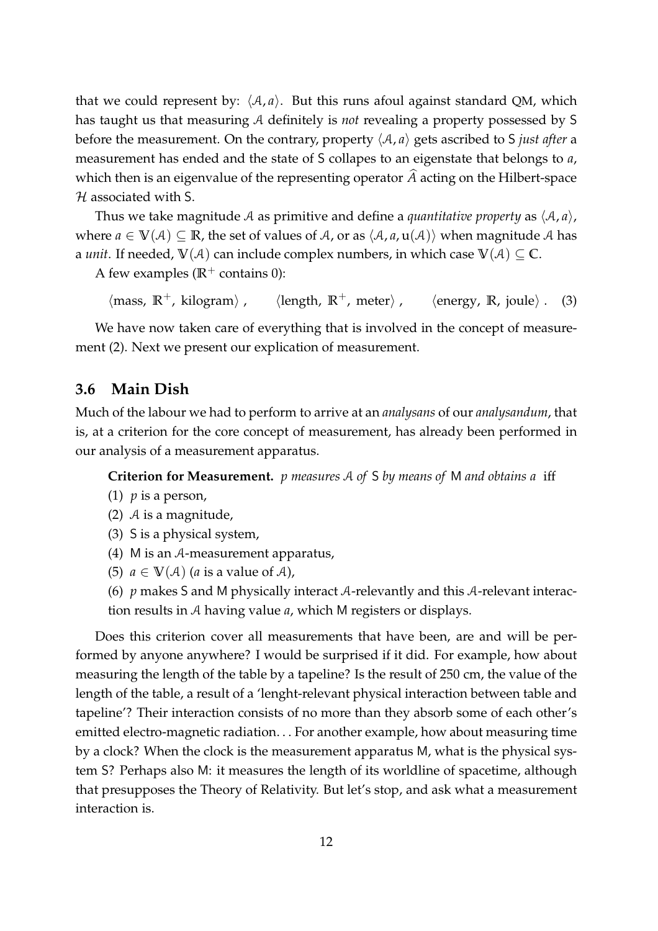that we could represent by:  $\langle A, a \rangle$ . But this runs afoul against standard QM, which has taught us that measuring A definitely is *not* revealing a property possessed by S before the measurement. On the contrary, property  $\langle A, a \rangle$  gets ascribed to S *just after* a measurement has ended and the state of S collapes to an eigenstate that belongs to *a*, which then is an eigenvalue of the representing operator *A* acting on the Hilbert-space  $H$  associated with S.

Thus we take magnitude A as primitive and define a *quantitative property* as  $\langle A, a \rangle$ , where  $a \in V(\mathcal{A}) \subseteq \mathbb{R}$ , the set of values of A, or as  $\langle A, a, u(\mathcal{A}) \rangle$  when magnitude A has a *unit*. If needed,  $V(A)$  can include complex numbers, in which case  $V(A) \subseteq C$ .

A few examples ( $\mathbb{R}^+$  contains 0):

```
\langle \text{mass, R}^+ \text{, kilogram} \rangle, \langle \text{length, R} \rangle\langle \text{length, R}^+ \text{, meter} \rangle, \langle \text{energy, R, joule} \rangle. (3)
```
We have now taken care of everything that is involved in the concept of measurement (2). Next we present our explication of measurement.

#### **3.6 Main Dish**

Much of the labour we had to perform to arrive at an *analysans* of our *analysandum*, that is, at a criterion for the core concept of measurement, has already been performed in our analysis of a measurement apparatus.

**Criterion for Measurement.** *p measures* A *of* S *by means of* M *and obtains a* iff

- (1)  $p$  is a person,
- (2)  $\mathcal A$  is a magnitude,
- (3) S is a physical system,
- (4) M is an A-measurement apparatus,
- (5)  $a \in V(\mathcal{A})$  (*a* is a value of  $\mathcal{A}$ ),

(6) *p* makes S and M physically interact A-relevantly and this A-relevant interaction results in A having value *a*, which M registers or displays.

Does this criterion cover all measurements that have been, are and will be performed by anyone anywhere? I would be surprised if it did. For example, how about measuring the length of the table by a tapeline? Is the result of 250 cm, the value of the length of the table, a result of a 'lenght-relevant physical interaction between table and tapeline'? Their interaction consists of no more than they absorb some of each other's emitted electro-magnetic radiation. . . For another example, how about measuring time by a clock? When the clock is the measurement apparatus M, what is the physical system S? Perhaps also M: it measures the length of its worldline of spacetime, although that presupposes the Theory of Relativity. But let's stop, and ask what a measurement interaction is.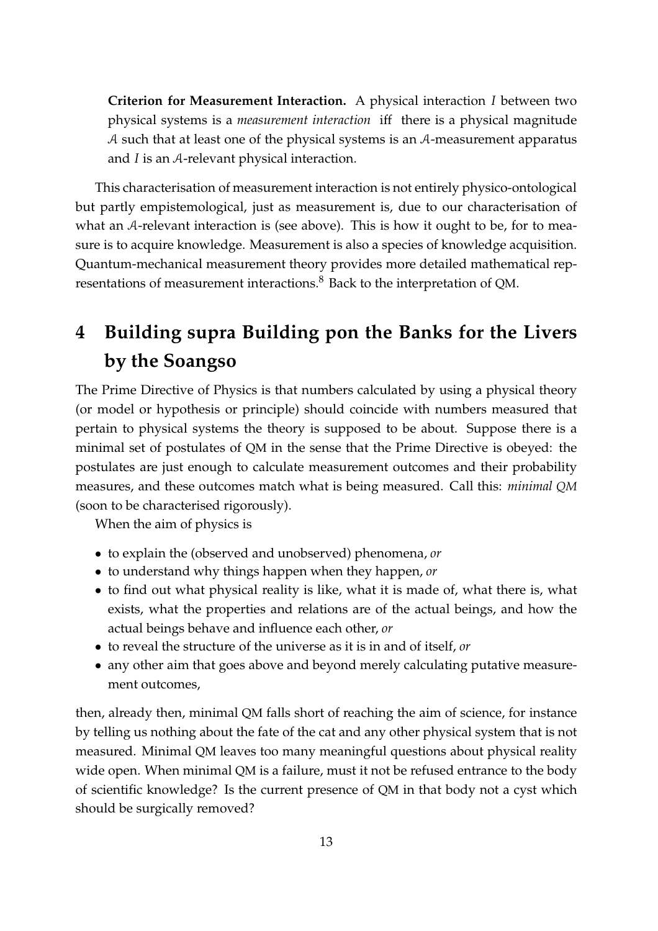**Criterion for Measurement Interaction.** A physical interaction *I* between two physical systems is a *measurement interaction* iff there is a physical magnitude A such that at least one of the physical systems is an A-measurement apparatus and *I* is an A-relevant physical interaction.

This characterisation of measurement interaction is not entirely physico-ontological but partly empistemological, just as measurement is, due to our characterisation of what an A-relevant interaction is (see above). This is how it ought to be, for to measure is to acquire knowledge. Measurement is also a species of knowledge acquisition. Quantum-mechanical measurement theory provides more detailed mathematical representations of measurement interactions.<sup>8</sup> Back to the interpretation of QM.

# **4 Building supra Building pon the Banks for the Livers by the Soangso**

The Prime Directive of Physics is that numbers calculated by using a physical theory (or model or hypothesis or principle) should coincide with numbers measured that pertain to physical systems the theory is supposed to be about. Suppose there is a minimal set of postulates of QM in the sense that the Prime Directive is obeyed: the postulates are just enough to calculate measurement outcomes and their probability measures, and these outcomes match what is being measured. Call this: *minimal QM* (soon to be characterised rigorously).

When the aim of physics is

- to explain the (observed and unobserved) phenomena, *or*
- to understand why things happen when they happen, *or*
- to find out what physical reality is like, what it is made of, what there is, what exists, what the properties and relations are of the actual beings, and how the actual beings behave and influence each other, *or*
- to reveal the structure of the universe as it is in and of itself, *or*
- any other aim that goes above and beyond merely calculating putative measurement outcomes,

then, already then, minimal QM falls short of reaching the aim of science, for instance by telling us nothing about the fate of the cat and any other physical system that is not measured. Minimal QM leaves too many meaningful questions about physical reality wide open. When minimal QM is a failure, must it not be refused entrance to the body of scientific knowledge? Is the current presence of QM in that body not a cyst which should be surgically removed?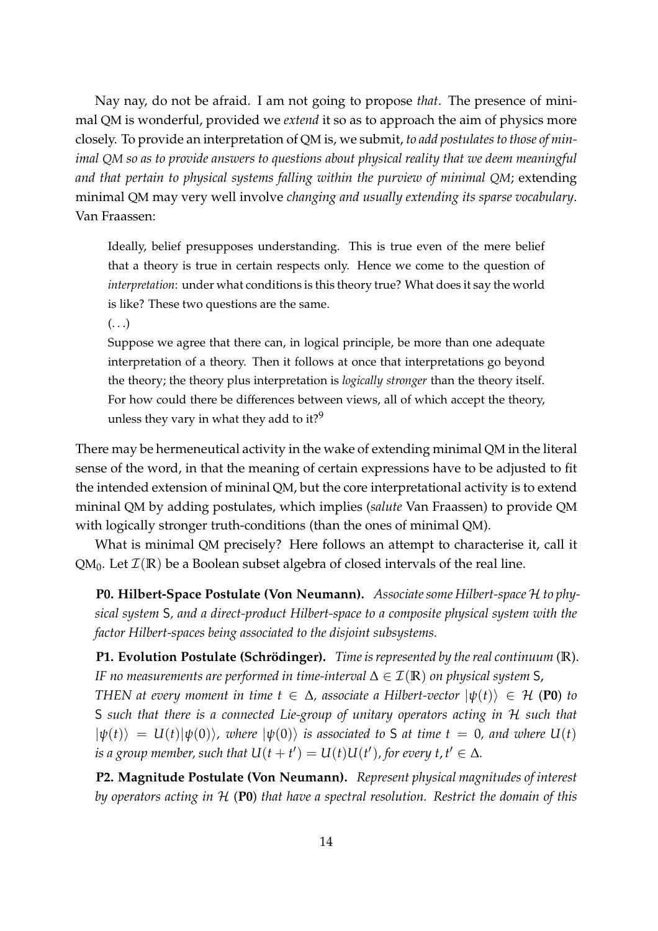Nay nay, do not be afraid. I am not going to propose *that*. The presence of minimal QM is wonderful, provided we *extend* it so as to approach the aim of physics more closely. To provide an interpretation of QM is, we submit, *to add postulates to those of minimal QM so as to provide answers to questions about physical reality that we deem meaningful and that pertain to physical systems falling within the purview of minimal QM*; extending minimal QM may very well involve *changing and usually extending its sparse vocabulary*. Van Fraassen:

Ideally, belief presupposes understanding. This is true even of the mere belief that a theory is true in certain respects only. Hence we come to the question of *interpretation*: under what conditions is this theory true? What does it say the world is like? These two questions are the same.

 $\left( \ldots \right)$ 

Suppose we agree that there can, in logical principle, be more than one adequate interpretation of a theory. Then it follows at once that interpretations go beyond the theory; the theory plus interpretation is *logically stronger* than the theory itself. For how could there be differences between views, all of which accept the theory, unless they vary in what they add to it?<sup>9</sup>

There may be hermeneutical activity in the wake of extending minimal QM in the literal sense of the word, in that the meaning of certain expressions have to be adjusted to fit the intended extension of mininal QM, but the core interpretational activity is to extend mininal QM by adding postulates, which implies (*salute* Van Fraassen) to provide QM with logically stronger truth-conditions (than the ones of minimal QM).

What is minimal QM precisely? Here follows an attempt to characterise it, call it QM<sub>0</sub>. Let  $\mathcal{I}(\mathbb{R})$  be a Boolean subset algebra of closed intervals of the real line.

**P0. Hilbert-Space Postulate (Von Neumann).** *Associate some Hilbert-space* H *to physical system* S*, and a direct-product Hilbert-space to a composite physical system with the factor Hilbert-spaces being associated to the disjoint subsystems.*

**P1. Evolution Postulate (Schrödinger).** *Time is represented by the real continuum* (**R**). *IF no measurements are performed in time-interval*  $\Delta \in \mathcal{I}(\mathbb{R})$  *on physical system* S,

*THEN at every moment in time*  $t \in \Delta$ *, associate a Hilbert-vector*  $|\psi(t)\rangle \in \mathcal{H}$  (P0) *to* S *such that there is a connected Lie-group of unitary operators acting in* H *such that*  $|\psi(t)\rangle = U(t)|\psi(0)\rangle$ *, where*  $|\psi(0)\rangle$  *is associated to* S *at time*  $t = 0$ *, and where*  $U(t)$ *is a group member, such that*  $U(t + t') = U(t)U(t')$ , for every  $t, t' \in \Delta$ *.* 

**P2. Magnitude Postulate (Von Neumann).** *Represent physical magnitudes of interest by operators acting in* H (**P0**) *that have a spectral resolution. Restrict the domain of this*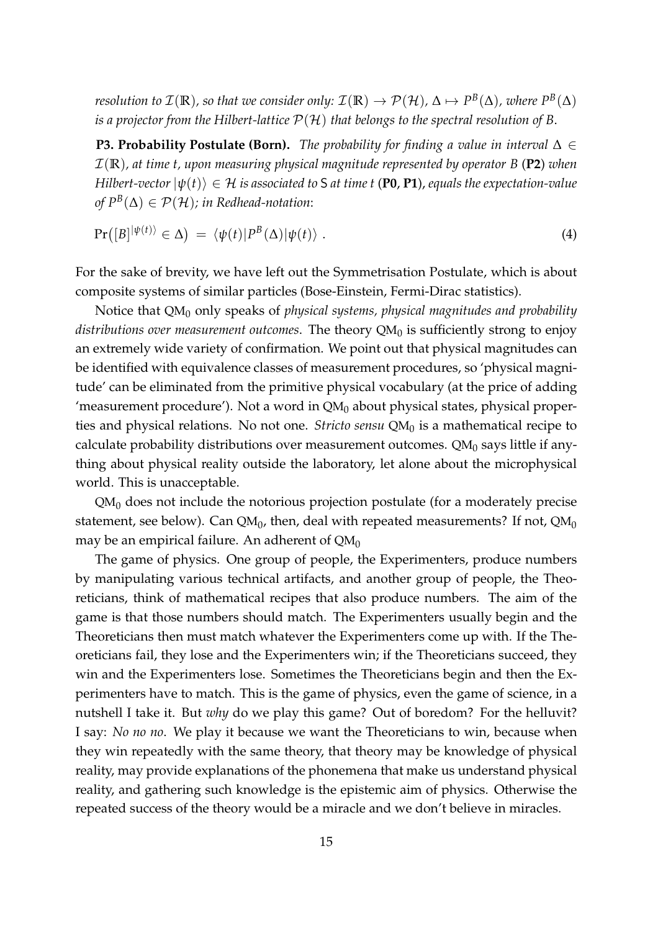*resolution to*  $\mathcal{I}(\mathbb{R})$ *, so that we consider only:*  $\mathcal{I}(\mathbb{R}) \to \mathcal{P}(\mathcal{H})$ *,*  $\Delta \mapsto P^B(\Delta)$ *, where*  $P^B(\Delta)$ *is a projector from the Hilbert-lattice* P(H) *that belongs to the spectral resolution of B*.

**P3. Probability Postulate (Born).** *The probability for finding a value in interval* ∆ ∈ I(**R**)*, at time t, upon measuring physical magnitude represented by operator B* (**P2**) *when Hilbert-vector*  $|\psi(t)\rangle \in \mathcal{H}$  *is associated to* S *at time t* (P0, P1), *equals the expectation-value of*  $P^B(∆)$  ∈  $P(H)$ ; in Redhead-notation:

$$
Pr([B]^{|\psi(t)\rangle} \in \Delta) = \langle \psi(t)|P^{B}(\Delta)|\psi(t)\rangle . \tag{4}
$$

For the sake of brevity, we have left out the Symmetrisation Postulate, which is about composite systems of similar particles (Bose-Einstein, Fermi-Dirac statistics).

Notice that QM<sub>0</sub> only speaks of *physical systems, physical magnitudes and probability*  $distributions$  *over measurement outcomes.* The theory QM $_0$  is sufficiently strong to enjoy an extremely wide variety of confirmation. We point out that physical magnitudes can be identified with equivalence classes of measurement procedures, so 'physical magnitude' can be eliminated from the primitive physical vocabulary (at the price of adding 'measurement procedure'). Not a word in  $QM<sub>0</sub>$  about physical states, physical properties and physical relations. No not one. *Stricto sensu* QM<sub>0</sub> is a mathematical recipe to calculate probability distributions over measurement outcomes.  $QM<sub>0</sub>$  says little if anything about physical reality outside the laboratory, let alone about the microphysical world. This is unacceptable.

 $QM<sub>0</sub>$  does not include the notorious projection postulate (for a moderately precise statement, see below). Can QM $_0$ , then, deal with repeated measurements? If not, QM $_0$ may be an empirical failure. An adherent of  $QM_0$ 

The game of physics. One group of people, the Experimenters, produce numbers by manipulating various technical artifacts, and another group of people, the Theoreticians, think of mathematical recipes that also produce numbers. The aim of the game is that those numbers should match. The Experimenters usually begin and the Theoreticians then must match whatever the Experimenters come up with. If the Theoreticians fail, they lose and the Experimenters win; if the Theoreticians succeed, they win and the Experimenters lose. Sometimes the Theoreticians begin and then the Experimenters have to match. This is the game of physics, even the game of science, in a nutshell I take it. But *why* do we play this game? Out of boredom? For the helluvit? I say: *No no no*. We play it because we want the Theoreticians to win, because when they win repeatedly with the same theory, that theory may be knowledge of physical reality, may provide explanations of the phonemena that make us understand physical reality, and gathering such knowledge is the epistemic aim of physics. Otherwise the repeated success of the theory would be a miracle and we don't believe in miracles.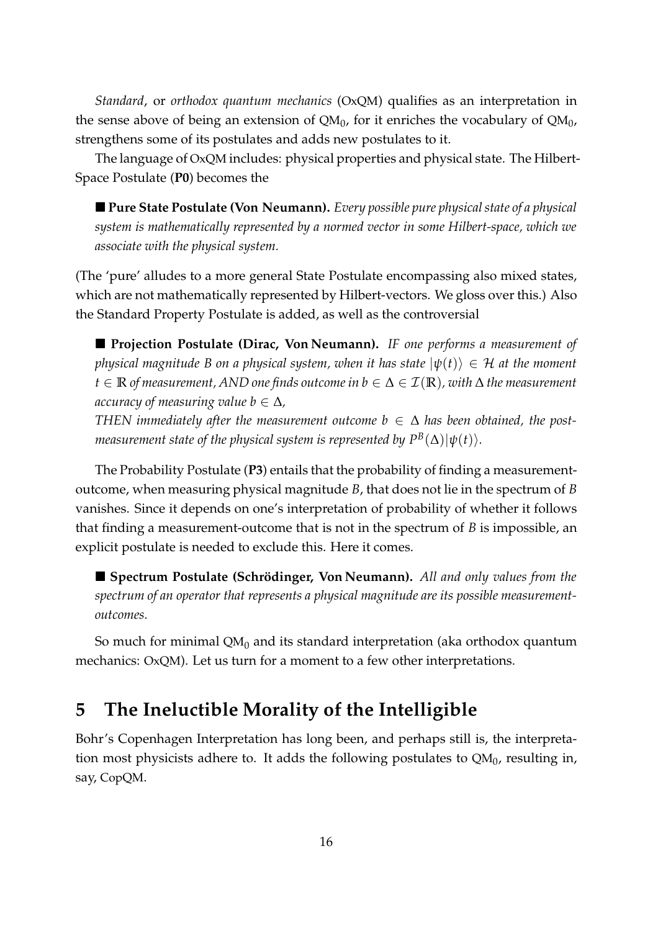*Standard*, or *orthodox quantum mechanics* (OxQM) qualifies as an interpretation in the sense above of being an extension of QM<sub>0</sub>, for it enriches the vocabulary of QM<sub>0</sub>, strengthens some of its postulates and adds new postulates to it.

The language of OxQM includes: physical properties and physical state. The Hilbert-Space Postulate (**P0**) becomes the

 **Pure State Postulate (Von Neumann).** *Every possible pure physical state of a physical system is mathematically represented by a normed vector in some Hilbert-space, which we associate with the physical system.*

(The 'pure' alludes to a more general State Postulate encompassing also mixed states, which are not mathematically represented by Hilbert-vectors. We gloss over this.) Also the Standard Property Postulate is added, as well as the controversial

 **Projection Postulate (Dirac, Von Neumann).** *IF one performs a measurement of physical magnitude B on a physical system, when it has state*  $|\psi(t)\rangle \in \mathcal{H}$  *at the moment t* ∈ **R** *of measurement, AND one finds outcome in b* ∈ ∆ ∈ I(**R**)*, with* ∆ *the measurement accuracy of measuring value b*  $\in \Delta$ ,

*THEN immediately after the measurement outcome*  $b \in \Delta$  *has been obtained, the post* $m$ easurement state of the physical system is represented by  $P^B(\Delta) |\psi(t)\rangle.$ 

The Probability Postulate (**P3**) entails that the probability of finding a measurementoutcome, when measuring physical magnitude *B*, that does not lie in the spectrum of *B* vanishes. Since it depends on one's interpretation of probability of whether it follows that finding a measurement-outcome that is not in the spectrum of *B* is impossible, an explicit postulate is needed to exclude this. Here it comes.

**Spectrum Postulate (Schrödinger, Von Neumann).** All and only values from the *spectrum of an operator that represents a physical magnitude are its possible measurementoutcomes.*

So much for minimal  $QM_0$  and its standard interpretation (aka orthodox quantum mechanics: OxQM). Let us turn for a moment to a few other interpretations.

## **5 The Ineluctible Morality of the Intelligible**

Bohr's Copenhagen Interpretation has long been, and perhaps still is, the interpretation most physicists adhere to. It adds the following postulates to QM $_{\rm 0}$ , resulting in, say, CopQM.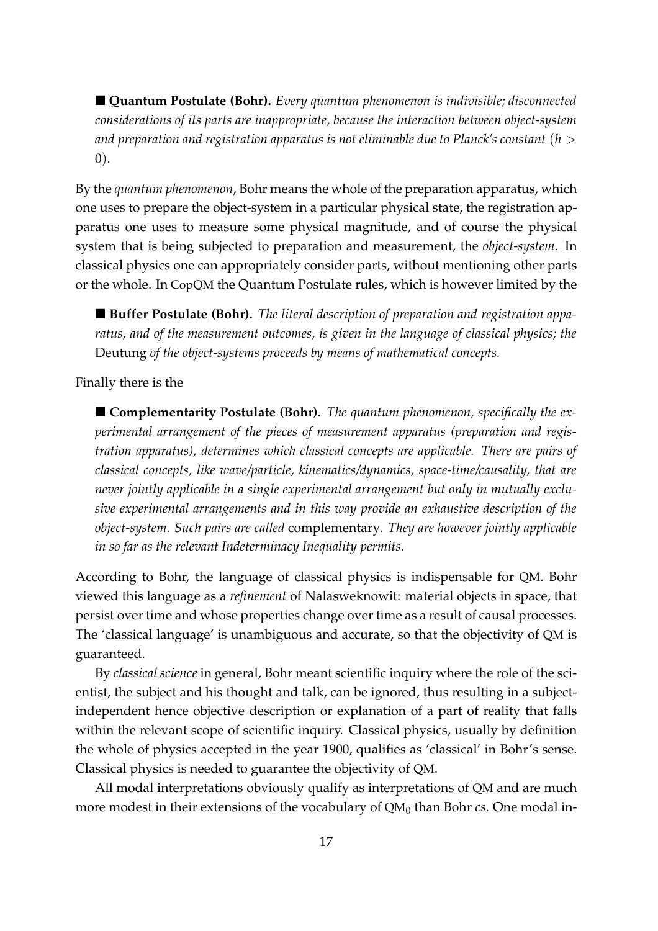■ **Quantum Postulate (Bohr).** *Every quantum phenomenon is indivisible; disconnected considerations of its parts are inappropriate, because the interaction between object-system and preparation and registration apparatus is not eliminable due to Planck's constant* (*h* > 0).

By the *quantum phenomenon*, Bohr means the whole of the preparation apparatus, which one uses to prepare the object-system in a particular physical state, the registration apparatus one uses to measure some physical magnitude, and of course the physical system that is being subjected to preparation and measurement, the *object-system*. In classical physics one can appropriately consider parts, without mentioning other parts or the whole. In CopQM the Quantum Postulate rules, which is however limited by the

■ Buffer Postulate (Bohr). The literal description of preparation and registration appa*ratus, and of the measurement outcomes, is given in the language of classical physics; the* Deutung *of the object-systems proceeds by means of mathematical concepts.*

Finally there is the

■ **Complementarity Postulate (Bohr).** *The quantum phenomenon, specifically the experimental arrangement of the pieces of measurement apparatus (preparation and registration apparatus), determines which classical concepts are applicable. There are pairs of classical concepts, like wave/particle, kinematics/dynamics, space-time/causality, that are never jointly applicable in a single experimental arrangement but only in mutually exclusive experimental arrangements and in this way provide an exhaustive description of the object-system. Such pairs are called* complementary*. They are however jointly applicable in so far as the relevant Indeterminacy Inequality permits.*

According to Bohr, the language of classical physics is indispensable for QM. Bohr viewed this language as a *refinement* of Nalasweknowit: material objects in space, that persist over time and whose properties change over time as a result of causal processes. The 'classical language' is unambiguous and accurate, so that the objectivity of QM is guaranteed.

By *classical science* in general, Bohr meant scientific inquiry where the role of the scientist, the subject and his thought and talk, can be ignored, thus resulting in a subjectindependent hence objective description or explanation of a part of reality that falls within the relevant scope of scientific inquiry. Classical physics, usually by definition the whole of physics accepted in the year 1900, qualifies as 'classical' in Bohr's sense. Classical physics is needed to guarantee the objectivity of QM.

All modal interpretations obviously qualify as interpretations of QM and are much more modest in their extensions of the vocabulary of QM<sub>0</sub> than Bohr *cs*. One modal in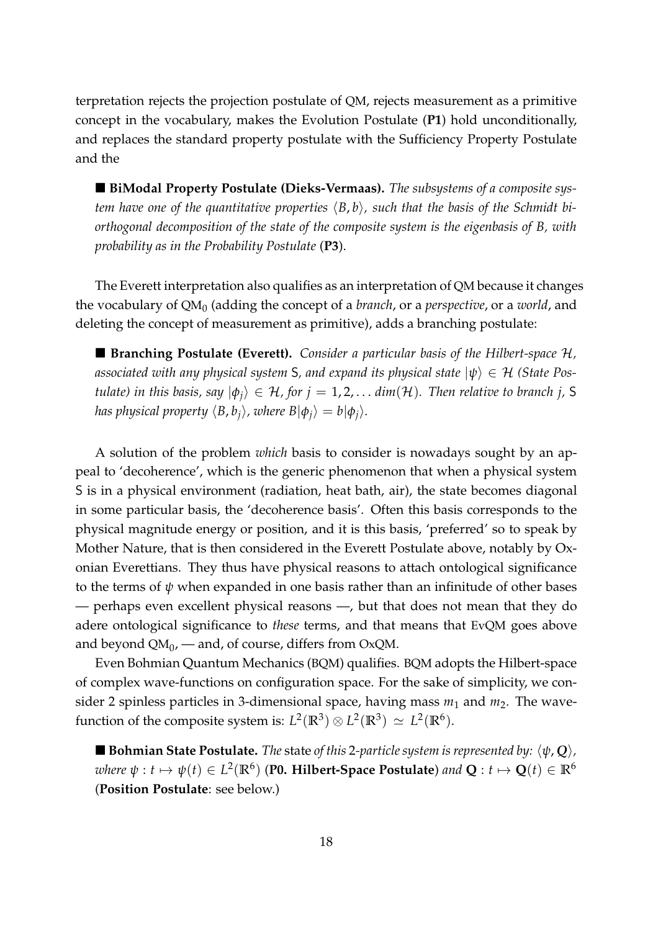terpretation rejects the projection postulate of QM, rejects measurement as a primitive concept in the vocabulary, makes the Evolution Postulate (**P1**) hold unconditionally, and replaces the standard property postulate with the Sufficiency Property Postulate and the

 **BiModal Property Postulate (Dieks-Vermaas).** *The subsystems of a composite system have one of the quantitative properties*  $\langle B, b \rangle$ , such that the basis of the Schmidt bi*orthogonal decomposition of the state of the composite system is the eigenbasis of B, with probability as in the Probability Postulate* (**P3**).

The Everett interpretation also qualifies as an interpretation of QM because it changes the vocabulary of QM<sub>0</sub> (adding the concept of a *branch,* or a *perspective,* or a *world,* and deleting the concept of measurement as primitive), adds a branching postulate:

■ **Branching Postulate (Everett).** *Consider a particular basis of the Hilbert-space*  $\mathcal{H}$ *, associated with any physical system* S, and expand its physical state  $|\psi\rangle \in \mathcal{H}$  *(State Postulate) in this basis, say*  $|\phi_i\rangle \in H$ , for  $j = 1, 2, \ldots$  *dim*(H). Then relative to branch j, S *has physical property*  $\langle B, b_i \rangle$ *, where*  $B|\phi_i\rangle = b|\phi_i\rangle$ *.* 

A solution of the problem *which* basis to consider is nowadays sought by an appeal to 'decoherence', which is the generic phenomenon that when a physical system S is in a physical environment (radiation, heat bath, air), the state becomes diagonal in some particular basis, the 'decoherence basis'. Often this basis corresponds to the physical magnitude energy or position, and it is this basis, 'preferred' so to speak by Mother Nature, that is then considered in the Everett Postulate above, notably by Oxonian Everettians. They thus have physical reasons to attach ontological significance to the terms of *ψ* when expanded in one basis rather than an infinitude of other bases — perhaps even excellent physical reasons —, but that does not mean that they do adere ontological significance to *these* terms, and that means that EvQM goes above and beyond QM $_0$ , — and, of course, differs from OxQM.

Even Bohmian Quantum Mechanics (BQM) qualifies. BQM adopts the Hilbert-space of complex wave-functions on configuration space. For the sake of simplicity, we consider 2 spinless particles in 3-dimensional space, having mass  $m_1$  and  $m_2$ . The wavefunction of the composite system is:  $L^2(\mathbb{R}^3) \otimes L^2(\mathbb{R}^3) \simeq L^2(\mathbb{R}^6)$ .

**Bohmian State Postulate.** *The* state *of this* 2-particle system is represented by:  $\langle \psi, \mathbf{Q} \rangle$ ,  $w$ here  $\psi:t\mapsto \psi(t)\in L^2(\mathbb{R}^6)$  (**P0. Hilbert-Space Postulate**) and  $\mathbf{Q}:t\mapsto \mathbf{Q}(t)\in\mathbb{R}^6$ (**Position Postulate**: see below.)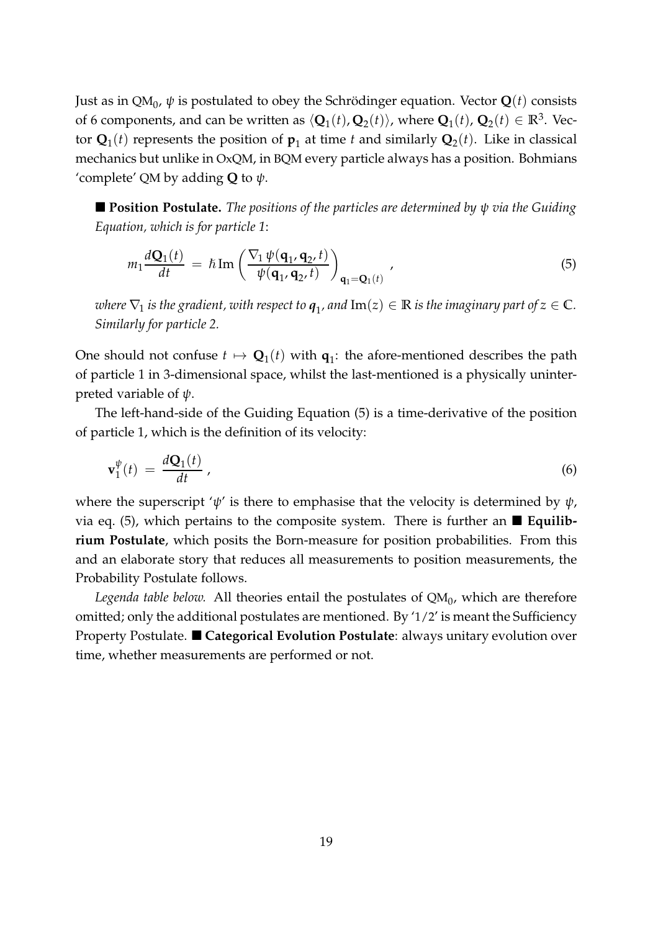Just as in QM $_0$ ,  $\psi$  is postulated to obey the Schrödinger equation. Vector  $\mathbf{Q}(t)$  consists of 6 components, and can be written as  $\langle \mathbf{Q}_1(t), \mathbf{Q}_2(t) \rangle$ , where  $\mathbf{Q}_1(t)$ ,  $\mathbf{Q}_2(t) \in \mathbb{R}^3$ . Vector  $\mathbf{Q}_1(t)$  represents the position of  $\mathbf{p}_1$  at time  $t$  and similarly  $\mathbf{Q}_2(t)$ . Like in classical mechanics but unlike in OxQM, in BQM every particle always has a position. Bohmians 'complete' QM by adding **Q** to *ψ*.

 **Position Postulate.** *The positions of the particles are determined by ψ via the Guiding Equation, which is for particle 1*:

$$
m_1 \frac{d\mathbf{Q}_1(t)}{dt} = \hbar \operatorname{Im} \left( \frac{\nabla_1 \psi(\mathbf{q}_1, \mathbf{q}_2, t)}{\psi(\mathbf{q}_1, \mathbf{q}_2, t)} \right)_{\mathbf{q}_1 = \mathbf{Q}_1(t)}, \qquad (5)
$$

where  $\nabla_1$  is the gradient, with respect to  $\pmb{q}_1$ , and  $\text{Im}(z)\in\mathbb{R}$  is the imaginary part of  $z\in\mathbb{C}$ . *Similarly for particle 2.*

One should not confuse  $t \mapsto \mathbf{Q}_1(t)$  with  $\mathbf{q}_1$ : the afore-mentioned describes the path of particle 1 in 3-dimensional space, whilst the last-mentioned is a physically uninterpreted variable of *ψ*.

The left-hand-side of the Guiding Equation (5) is a time-derivative of the position of particle 1, which is the definition of its velocity:

$$
\mathbf{v}_1^{\psi}(t) = \frac{d\mathbf{Q}_1(t)}{dt},\tag{6}
$$

where the superscript ' $\psi$ ' is there to emphasise that the velocity is determined by  $\psi$ , via eq. (5), which pertains to the composite system. There is further an **Equilibrium Postulate**, which posits the Born-measure for position probabilities. From this and an elaborate story that reduces all measurements to position measurements, the Probability Postulate follows.

Legenda table below. All theories entail the postulates of  $\text{QM}_0$ , which are therefore omitted; only the additional postulates are mentioned. By '1/2' is meant the Sufficiency Property Postulate. **Categorical Evolution Postulate**: always unitary evolution over time, whether measurements are performed or not.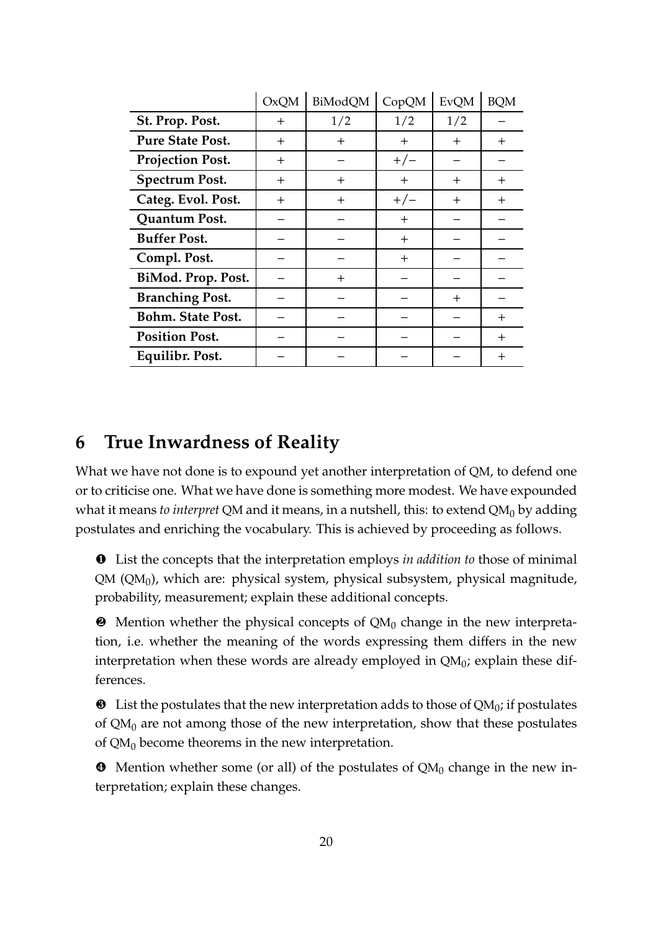|                          | <b>OxQM</b> | BiModQM | CopQM  | <b>EvQM</b> | <b>BQM</b> |
|--------------------------|-------------|---------|--------|-------------|------------|
| St. Prop. Post.          | $^{+}$      | 1/2     | 1/2    | 1/2         |            |
| <b>Pure State Post.</b>  | $^{+}$      | $\pm$   | $\pm$  | $^{+}$      | $^{+}$     |
| <b>Projection Post.</b>  | $^{+}$      |         | $+/-$  |             |            |
| <b>Spectrum Post.</b>    | $^{+}$      | $^{+}$  | $^{+}$ | $^{+}$      | $^{+}$     |
| Categ. Evol. Post.       | $^{+}$      | $\pm$   | $+/-$  | $\pm$       | $^{+}$     |
| Quantum Post.            |             |         | $^{+}$ |             |            |
| <b>Buffer Post.</b>      |             |         | $^{+}$ |             |            |
| Compl. Post.             |             |         | $\pm$  |             |            |
| BiMod. Prop. Post.       |             | $^{+}$  |        |             |            |
| <b>Branching Post.</b>   |             |         |        | $^{+}$      |            |
| <b>Bohm. State Post.</b> |             |         |        |             | $^{+}$     |
| <b>Position Post.</b>    |             |         |        |             | $^{+}$     |
| Equilibr. Post.          |             |         |        |             | $^{+}$     |

## **6 True Inwardness of Reality**

What we have not done is to expound yet another interpretation of QM, to defend one or to criticise one. What we have done is something more modest. We have expounded what it means *to interpret* QM and it means, in a nutshell, this: to extend QM<sub>0</sub> by adding postulates and enriching the vocabulary. This is achieved by proceeding as follows.

❶ List the concepts that the interpretation employs *in addition to* those of minimal QM (QM $_0$ ), which are: physical system, physical subsystem, physical magnitude, probability, measurement; explain these additional concepts.

 $\bullet$  Mention whether the physical concepts of QM<sub>0</sub> change in the new interpretation, i.e. whether the meaning of the words expressing them differs in the new interpretation when these words are already employed in QM $_0$ ; explain these differences.

 $\bullet$  List the postulates that the new interpretation adds to those of QM<sub>0</sub>; if postulates of  $QM_0$  are not among those of the new interpretation, show that these postulates of  $QM_0$  become theorems in the new interpretation.

 $\bullet$  Mention whether some (or all) of the postulates of  $QM_0$  change in the new interpretation; explain these changes.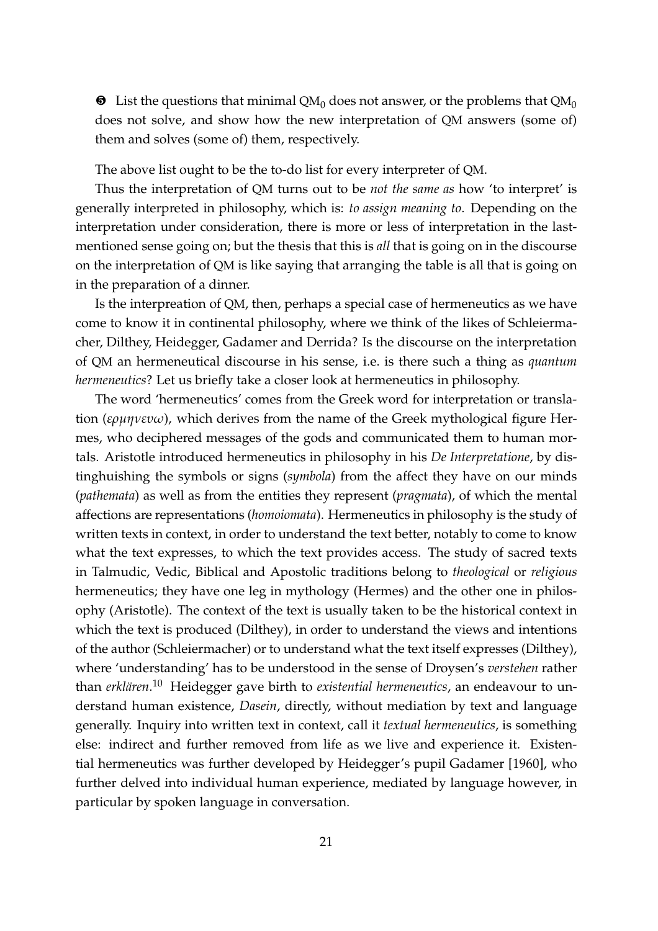$\bullet$  List the questions that minimal QM<sub>0</sub> does not answer, or the problems that QM<sub>0</sub> does not solve, and show how the new interpretation of QM answers (some of) them and solves (some of) them, respectively.

The above list ought to be the to-do list for every interpreter of QM.

Thus the interpretation of QM turns out to be *not the same as* how 'to interpret' is generally interpreted in philosophy, which is: *to assign meaning to*. Depending on the interpretation under consideration, there is more or less of interpretation in the lastmentioned sense going on; but the thesis that this is *all* that is going on in the discourse on the interpretation of QM is like saying that arranging the table is all that is going on in the preparation of a dinner.

Is the interpreation of QM, then, perhaps a special case of hermeneutics as we have come to know it in continental philosophy, where we think of the likes of Schleiermacher, Dilthey, Heidegger, Gadamer and Derrida? Is the discourse on the interpretation of QM an hermeneutical discourse in his sense, i.e. is there such a thing as *quantum hermeneutics*? Let us briefly take a closer look at hermeneutics in philosophy.

The word 'hermeneutics' comes from the Greek word for interpretation or translation (*ερµηνευω*), which derives from the name of the Greek mythological figure Hermes, who deciphered messages of the gods and communicated them to human mortals. Aristotle introduced hermeneutics in philosophy in his *De Interpretatione*, by distinghuishing the symbols or signs (*symbola*) from the affect they have on our minds (*pathemata*) as well as from the entities they represent (*pragmata*), of which the mental affections are representations (*homoiomata*). Hermeneutics in philosophy is the study of written texts in context, in order to understand the text better, notably to come to know what the text expresses, to which the text provides access. The study of sacred texts in Talmudic, Vedic, Biblical and Apostolic traditions belong to *theological* or *religious* hermeneutics; they have one leg in mythology (Hermes) and the other one in philosophy (Aristotle). The context of the text is usually taken to be the historical context in which the text is produced (Dilthey), in order to understand the views and intentions of the author (Schleiermacher) or to understand what the text itself expresses (Dilthey), where 'understanding' has to be understood in the sense of Droysen's *verstehen* rather than *erklären*.<sup>10</sup> Heidegger gave birth to *existential hermeneutics,* an endeavour to understand human existence, *Dasein*, directly, without mediation by text and language generally. Inquiry into written text in context, call it *textual hermeneutics*, is something else: indirect and further removed from life as we live and experience it. Existential hermeneutics was further developed by Heidegger's pupil Gadamer [1960], who further delved into individual human experience, mediated by language however, in particular by spoken language in conversation.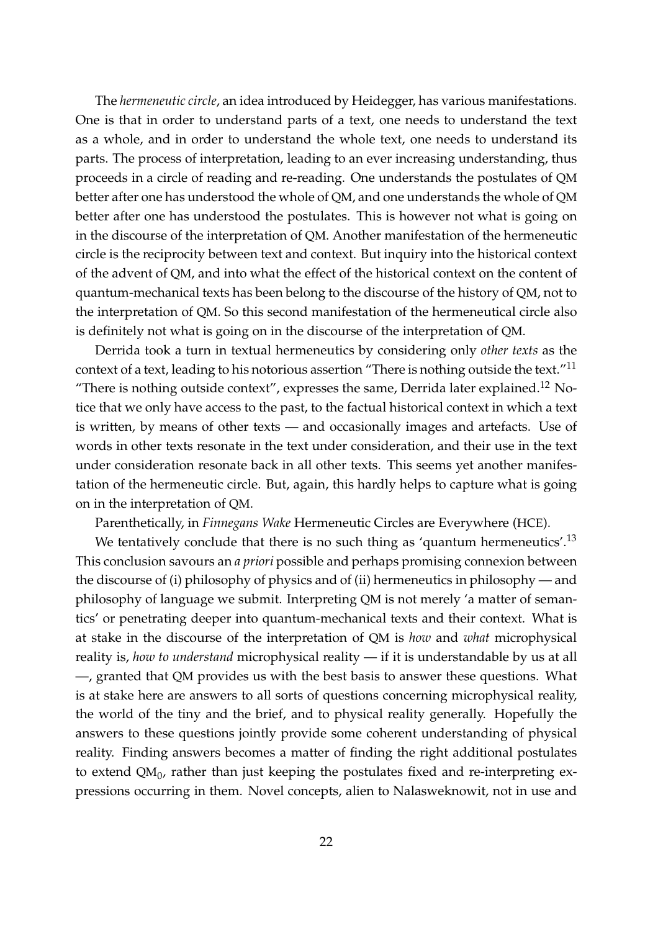The *hermeneutic circle*, an idea introduced by Heidegger, has various manifestations. One is that in order to understand parts of a text, one needs to understand the text as a whole, and in order to understand the whole text, one needs to understand its parts. The process of interpretation, leading to an ever increasing understanding, thus proceeds in a circle of reading and re-reading. One understands the postulates of QM better after one has understood the whole of QM, and one understands the whole of QM better after one has understood the postulates. This is however not what is going on in the discourse of the interpretation of QM. Another manifestation of the hermeneutic circle is the reciprocity between text and context. But inquiry into the historical context of the advent of QM, and into what the effect of the historical context on the content of quantum-mechanical texts has been belong to the discourse of the history of QM, not to the interpretation of QM. So this second manifestation of the hermeneutical circle also is definitely not what is going on in the discourse of the interpretation of QM.

Derrida took a turn in textual hermeneutics by considering only *other texts* as the context of a text, leading to his notorious assertion "There is nothing outside the text."<sup>11</sup> "There is nothing outside context", expresses the same, Derrida later explained.<sup>12</sup> Notice that we only have access to the past, to the factual historical context in which a text is written, by means of other texts — and occasionally images and artefacts. Use of words in other texts resonate in the text under consideration, and their use in the text under consideration resonate back in all other texts. This seems yet another manifestation of the hermeneutic circle. But, again, this hardly helps to capture what is going on in the interpretation of QM.

Parenthetically, in *Finnegans Wake* Hermeneutic Circles are Everywhere (HCE).

We tentatively conclude that there is no such thing as 'quantum hermeneutics'.<sup>13</sup> This conclusion savours an *a priori* possible and perhaps promising connexion between the discourse of (i) philosophy of physics and of (ii) hermeneutics in philosophy — and philosophy of language we submit. Interpreting QM is not merely 'a matter of semantics' or penetrating deeper into quantum-mechanical texts and their context. What is at stake in the discourse of the interpretation of QM is *how* and *what* microphysical reality is, *how to understand* microphysical reality — if it is understandable by us at all —, granted that QM provides us with the best basis to answer these questions. What is at stake here are answers to all sorts of questions concerning microphysical reality, the world of the tiny and the brief, and to physical reality generally. Hopefully the answers to these questions jointly provide some coherent understanding of physical reality. Finding answers becomes a matter of finding the right additional postulates to extend QM $_0$ , rather than just keeping the postulates fixed and re-interpreting expressions occurring in them. Novel concepts, alien to Nalasweknowit, not in use and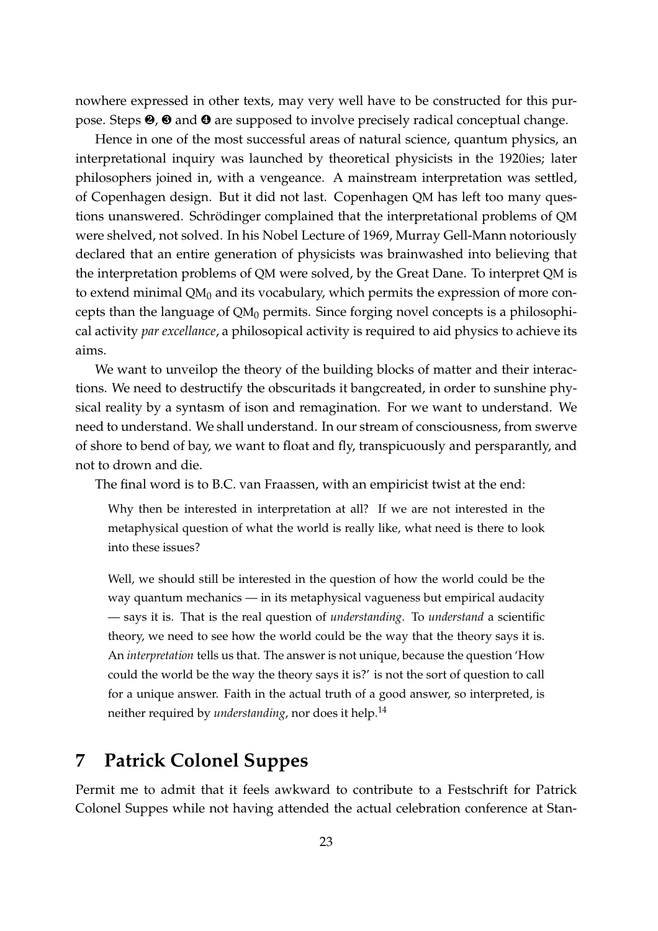nowhere expressed in other texts, may very well have to be constructed for this purpose. Steps ❷, ❸ and ❹ are supposed to involve precisely radical conceptual change.

Hence in one of the most successful areas of natural science, quantum physics, an interpretational inquiry was launched by theoretical physicists in the 1920ies; later philosophers joined in, with a vengeance. A mainstream interpretation was settled, of Copenhagen design. But it did not last. Copenhagen QM has left too many questions unanswered. Schrödinger complained that the interpretational problems of QM were shelved, not solved. In his Nobel Lecture of 1969, Murray Gell-Mann notoriously declared that an entire generation of physicists was brainwashed into believing that the interpretation problems of QM were solved, by the Great Dane. To interpret QM is to extend minimal  $QM_0$  and its vocabulary, which permits the expression of more concepts than the language of  $QM_0$  permits. Since forging novel concepts is a philosophical activity *par excellance*, a philosopical activity is required to aid physics to achieve its aims.

We want to unveilop the theory of the building blocks of matter and their interactions. We need to destructify the obscuritads it bangcreated, in order to sunshine physical reality by a syntasm of ison and remagination. For we want to understand. We need to understand. We shall understand. In our stream of consciousness, from swerve of shore to bend of bay, we want to float and fly, transpicuously and persparantly, and not to drown and die.

The final word is to B.C. van Fraassen, with an empiricist twist at the end:

Why then be interested in interpretation at all? If we are not interested in the metaphysical question of what the world is really like, what need is there to look into these issues?

Well, we should still be interested in the question of how the world could be the way quantum mechanics — in its metaphysical vagueness but empirical audacity — says it is. That is the real question of *understanding*. To *understand* a scientific theory, we need to see how the world could be the way that the theory says it is. An *interpretation* tells us that. The answer is not unique, because the question 'How could the world be the way the theory says it is?' is not the sort of question to call for a unique answer. Faith in the actual truth of a good answer, so interpreted, is neither required by *understanding*, nor does it help.<sup>14</sup>

# **7 Patrick Colonel Suppes**

Permit me to admit that it feels awkward to contribute to a Festschrift for Patrick Colonel Suppes while not having attended the actual celebration conference at Stan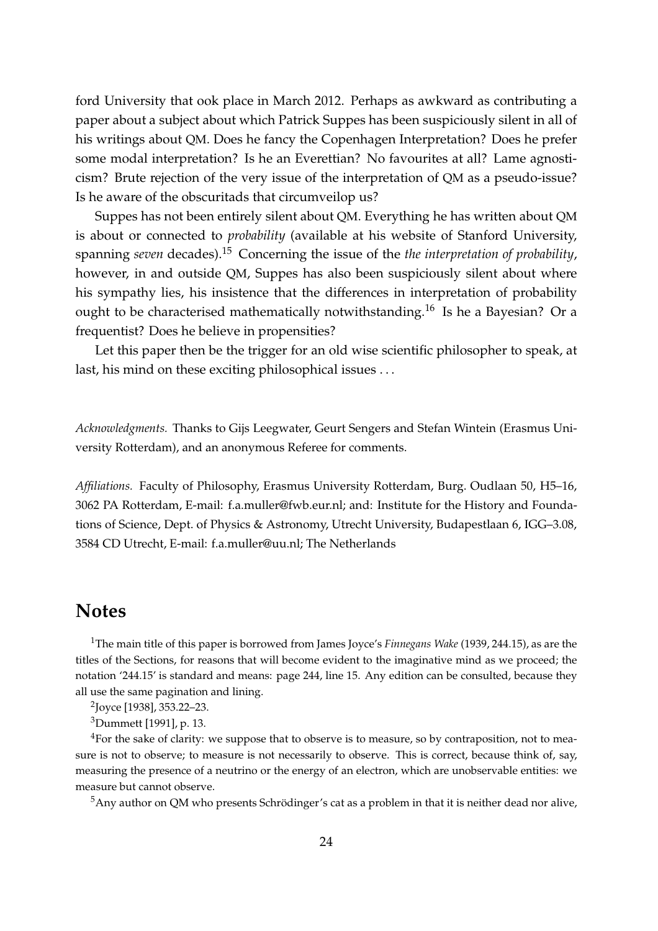ford University that ook place in March 2012. Perhaps as awkward as contributing a paper about a subject about which Patrick Suppes has been suspiciously silent in all of his writings about QM. Does he fancy the Copenhagen Interpretation? Does he prefer some modal interpretation? Is he an Everettian? No favourites at all? Lame agnosticism? Brute rejection of the very issue of the interpretation of QM as a pseudo-issue? Is he aware of the obscuritads that circumveilop us?

Suppes has not been entirely silent about QM. Everything he has written about QM is about or connected to *probability* (available at his website of Stanford University, spanning *seven* decades).<sup>15</sup> Concerning the issue of the *the interpretation of probability*, however, in and outside QM, Suppes has also been suspiciously silent about where his sympathy lies, his insistence that the differences in interpretation of probability ought to be characterised mathematically notwithstanding.<sup>16</sup> Is he a Bayesian? Or a frequentist? Does he believe in propensities?

Let this paper then be the trigger for an old wise scientific philosopher to speak, at last, his mind on these exciting philosophical issues . . .

*Acknowledgments.* Thanks to Gijs Leegwater, Geurt Sengers and Stefan Wintein (Erasmus University Rotterdam), and an anonymous Referee for comments.

*Affiliations.* Faculty of Philosophy, Erasmus University Rotterdam, Burg. Oudlaan 50, H5–16, 3062 PA Rotterdam, E-mail: f.a.muller@fwb.eur.nl; and: Institute for the History and Foundations of Science, Dept. of Physics & Astronomy, Utrecht University, Budapestlaan 6, IGG–3.08, 3584 CD Utrecht, E-mail: f.a.muller@uu.nl; The Netherlands

### **Notes**

<sup>1</sup>The main title of this paper is borrowed from James Joyce's *Finnegans Wake* (1939, 244.15), as are the titles of the Sections, for reasons that will become evident to the imaginative mind as we proceed; the notation '244.15' is standard and means: page 244, line 15. Any edition can be consulted, because they all use the same pagination and lining.

2 Joyce [1938], 353.22–23.

<sup>3</sup>Dummett [1991], p. 13.

 $4$ For the sake of clarity: we suppose that to observe is to measure, so by contraposition, not to measure is not to observe; to measure is not necessarily to observe. This is correct, because think of, say, measuring the presence of a neutrino or the energy of an electron, which are unobservable entities: we measure but cannot observe.

 $5$ Any author on QM who presents Schrödinger's cat as a problem in that it is neither dead nor alive,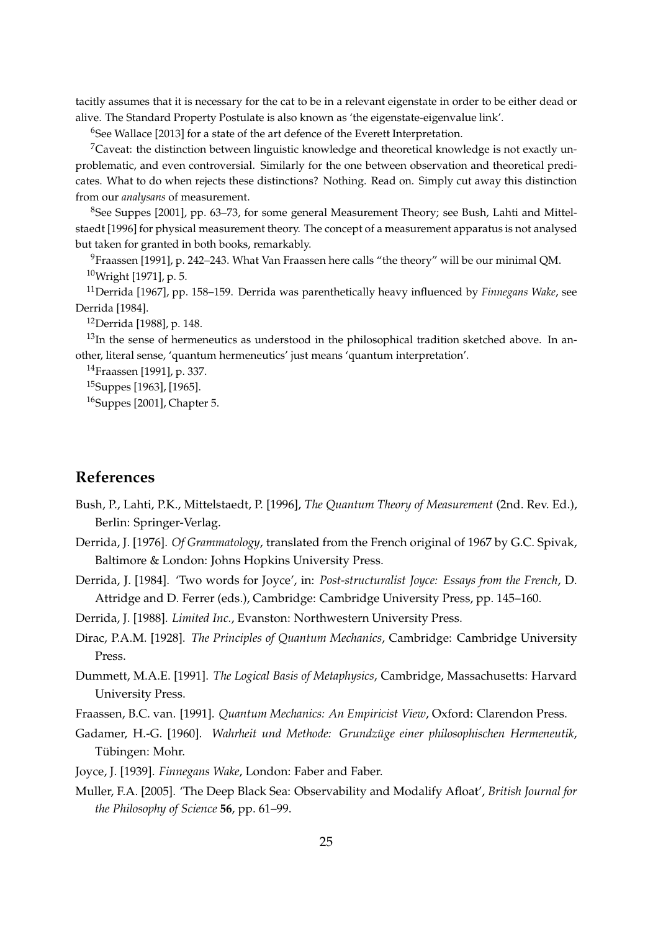tacitly assumes that it is necessary for the cat to be in a relevant eigenstate in order to be either dead or alive. The Standard Property Postulate is also known as 'the eigenstate-eigenvalue link'.

<sup>6</sup>See Wallace [2013] for a state of the art defence of the Everett Interpretation.

 $7$ Caveat: the distinction between linguistic knowledge and theoretical knowledge is not exactly unproblematic, and even controversial. Similarly for the one between observation and theoretical predicates. What to do when rejects these distinctions? Nothing. Read on. Simply cut away this distinction from our *analysans* of measurement.

<sup>8</sup>See Suppes [2001], pp. 63–73, for some general Measurement Theory; see Bush, Lahti and Mittelstaedt [1996] for physical measurement theory. The concept of a measurement apparatus is not analysed but taken for granted in both books, remarkably.

<sup>9</sup>Fraassen [1991], p. 242–243. What Van Fraassen here calls "the theory" will be our minimal QM. <sup>10</sup>Wright [1971], p. 5.

<sup>11</sup>Derrida [1967], pp. 158–159. Derrida was parenthetically heavy influenced by *Finnegans Wake*, see Derrida [1984].

<sup>12</sup>Derrida [1988], p. 148.

 $13$ In the sense of hermeneutics as understood in the philosophical tradition sketched above. In another, literal sense, 'quantum hermeneutics' just means 'quantum interpretation'.

<sup>14</sup>Fraassen [1991], p. 337.

<sup>15</sup>Suppes [1963], [1965].

<sup>16</sup>Suppes [2001], Chapter 5.

#### **References**

- Bush, P., Lahti, P.K., Mittelstaedt, P. [1996], *The Quantum Theory of Measurement* (2nd. Rev. Ed.), Berlin: Springer-Verlag.
- Derrida, J. [1976]. *Of Grammatology*, translated from the French original of 1967 by G.C. Spivak, Baltimore & London: Johns Hopkins University Press.
- Derrida, J. [1984]. 'Two words for Joyce', in: *Post-structuralist Joyce: Essays from the French*, D. Attridge and D. Ferrer (eds.), Cambridge: Cambridge University Press, pp. 145–160.

Derrida, J. [1988]. *Limited Inc.*, Evanston: Northwestern University Press.

- Dirac, P.A.M. [1928]. *The Principles of Quantum Mechanics*, Cambridge: Cambridge University Press.
- Dummett, M.A.E. [1991]. *The Logical Basis of Metaphysics*, Cambridge, Massachusetts: Harvard University Press.

Fraassen, B.C. van. [1991]. *Quantum Mechanics: An Empiricist View*, Oxford: Clarendon Press.

- Gadamer, H.-G. [1960]. *Wahrheit und Methode: Grundzüge einer philosophischen Hermeneutik*, Tübingen: Mohr.
- Joyce, J. [1939]. *Finnegans Wake*, London: Faber and Faber.
- Muller, F.A. [2005]. 'The Deep Black Sea: Observability and Modalify Afloat', *British Journal for the Philosophy of Science* **56**, pp. 61–99.